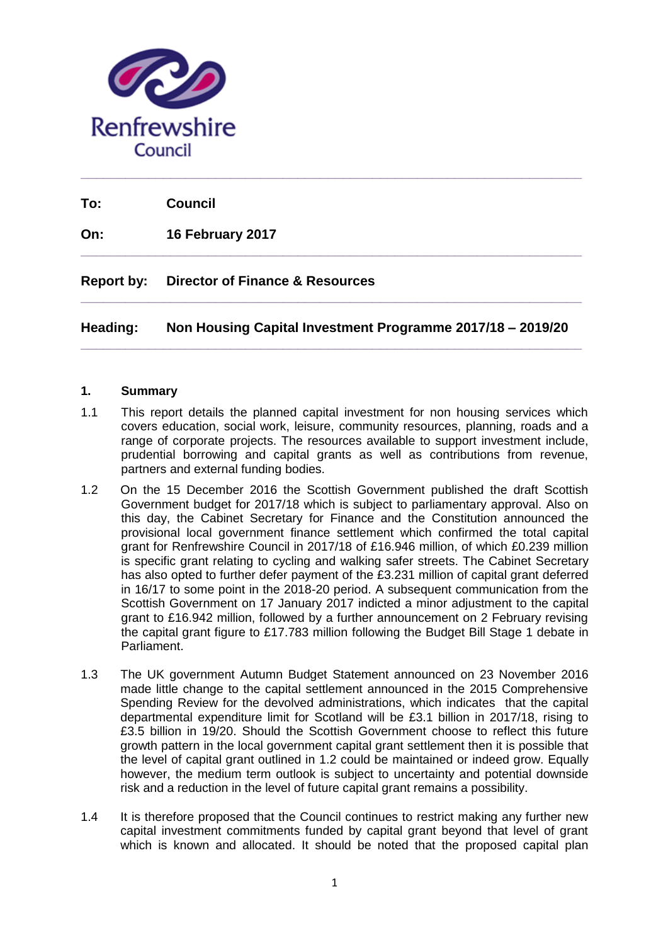

**To: Council**

**On: 16 February 2017**

# **Report by: Director of Finance & Resources**

**Heading: Non Housing Capital Investment Programme 2017/18 – 2019/20 \_\_\_\_\_\_\_\_\_\_\_\_\_\_\_\_\_\_\_\_\_\_\_\_\_\_\_\_\_\_\_\_\_\_\_\_\_\_\_\_\_\_\_\_\_\_\_\_\_\_\_\_\_\_\_\_\_\_\_\_\_\_\_\_\_\_\_**

**\_\_\_\_\_\_\_\_\_\_\_\_\_\_\_\_\_\_\_\_\_\_\_\_\_\_\_\_\_\_\_\_\_\_\_\_\_\_\_\_\_\_\_\_\_\_\_\_\_\_\_\_\_\_\_\_\_\_\_\_\_\_\_\_\_\_\_**

**\_\_\_\_\_\_\_\_\_\_\_\_\_\_\_\_\_\_\_\_\_\_\_\_\_\_\_\_\_\_\_\_\_\_\_\_\_\_\_\_\_\_\_\_\_\_\_\_\_\_\_\_\_\_\_\_\_\_\_\_\_\_\_\_\_\_\_**

# **1. Summary**

- 1.1 This report details the planned capital investment for non housing services which covers education, social work, leisure, community resources, planning, roads and a range of corporate projects. The resources available to support investment include, prudential borrowing and capital grants as well as contributions from revenue, partners and external funding bodies.
- 1.2 On the 15 December 2016 the Scottish Government published the draft Scottish Government budget for 2017/18 which is subject to parliamentary approval. Also on this day, the Cabinet Secretary for Finance and the Constitution announced the provisional local government finance settlement which confirmed the total capital grant for Renfrewshire Council in 2017/18 of £16.946 million, of which £0.239 million is specific grant relating to cycling and walking safer streets. The Cabinet Secretary has also opted to further defer payment of the £3.231 million of capital grant deferred in 16/17 to some point in the 2018-20 period. A subsequent communication from the Scottish Government on 17 January 2017 indicted a minor adjustment to the capital grant to £16.942 million, followed by a further announcement on 2 February revising the capital grant figure to £17.783 million following the Budget Bill Stage 1 debate in Parliament.
- 1.3 The UK government Autumn Budget Statement announced on 23 November 2016 made little change to the capital settlement announced in the 2015 Comprehensive Spending Review for the devolved administrations, which indicates that the capital departmental expenditure limit for Scotland will be £3.1 billion in 2017/18, rising to £3.5 billion in 19/20. Should the Scottish Government choose to reflect this future growth pattern in the local government capital grant settlement then it is possible that the level of capital grant outlined in 1.2 could be maintained or indeed grow. Equally however, the medium term outlook is subject to uncertainty and potential downside risk and a reduction in the level of future capital grant remains a possibility.
- 1.4 It is therefore proposed that the Council continues to restrict making any further new capital investment commitments funded by capital grant beyond that level of grant which is known and allocated. It should be noted that the proposed capital plan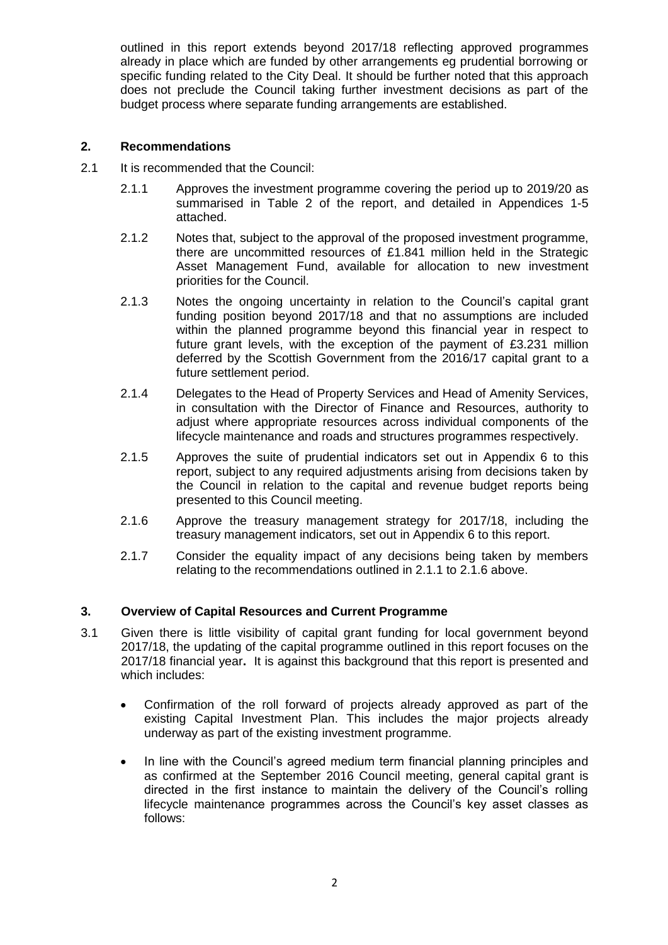outlined in this report extends beyond 2017/18 reflecting approved programmes already in place which are funded by other arrangements eg prudential borrowing or specific funding related to the City Deal. It should be further noted that this approach does not preclude the Council taking further investment decisions as part of the budget process where separate funding arrangements are established.

## **2. Recommendations**

- 2.1 It is recommended that the Council:
	- 2.1.1 Approves the investment programme covering the period up to 2019/20 as summarised in Table 2 of the report, and detailed in Appendices 1-5 attached.
	- 2.1.2 Notes that, subject to the approval of the proposed investment programme, there are uncommitted resources of £1.841 million held in the Strategic Asset Management Fund, available for allocation to new investment priorities for the Council.
	- 2.1.3 Notes the ongoing uncertainty in relation to the Council's capital grant funding position beyond 2017/18 and that no assumptions are included within the planned programme beyond this financial year in respect to future grant levels, with the exception of the payment of £3.231 million deferred by the Scottish Government from the 2016/17 capital grant to a future settlement period.
	- 2.1.4 Delegates to the Head of Property Services and Head of Amenity Services, in consultation with the Director of Finance and Resources, authority to adjust where appropriate resources across individual components of the lifecycle maintenance and roads and structures programmes respectively.
	- 2.1.5 Approves the suite of prudential indicators set out in Appendix 6 to this report, subject to any required adjustments arising from decisions taken by the Council in relation to the capital and revenue budget reports being presented to this Council meeting.
	- 2.1.6 Approve the treasury management strategy for 2017/18, including the treasury management indicators, set out in Appendix 6 to this report.
	- 2.1.7 Consider the equality impact of any decisions being taken by members relating to the recommendations outlined in 2.1.1 to 2.1.6 above.

# **3. Overview of Capital Resources and Current Programme**

- 3.1 Given there is little visibility of capital grant funding for local government beyond 2017/18, the updating of the capital programme outlined in this report focuses on the 2017/18 financial year**.** It is against this background that this report is presented and which includes:
	- Confirmation of the roll forward of projects already approved as part of the existing Capital Investment Plan. This includes the major projects already underway as part of the existing investment programme.
	- In line with the Council's agreed medium term financial planning principles and as confirmed at the September 2016 Council meeting, general capital grant is directed in the first instance to maintain the delivery of the Council's rolling lifecycle maintenance programmes across the Council's key asset classes as follows: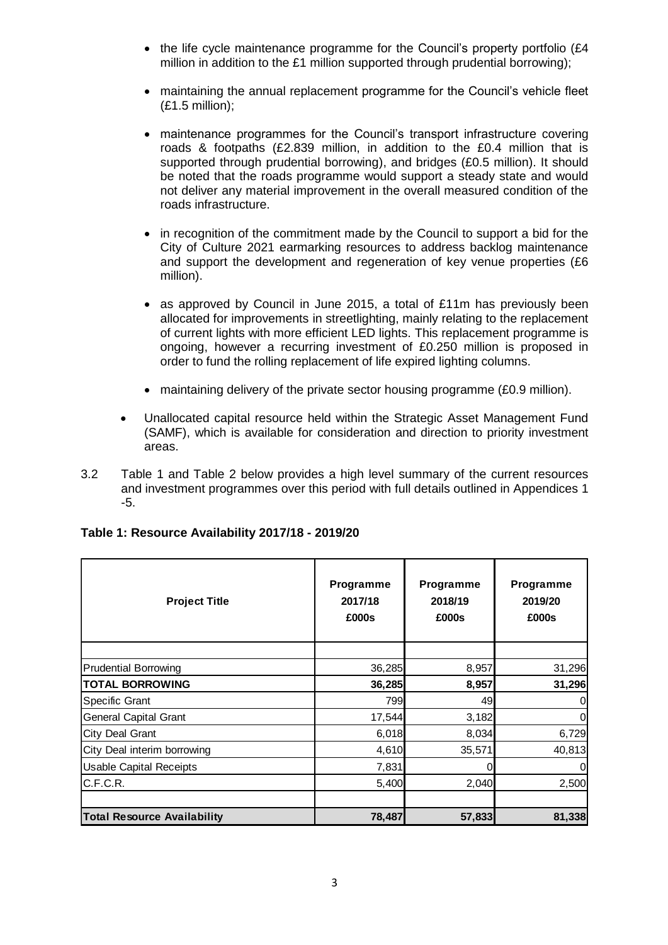- the life cycle maintenance programme for the Council's property portfolio ( $E4$ ) million in addition to the £1 million supported through prudential borrowing);
- maintaining the annual replacement programme for the Council's vehicle fleet (£1.5 million);
- maintenance programmes for the Council's transport infrastructure covering roads & footpaths (£2.839 million, in addition to the £0.4 million that is supported through prudential borrowing), and bridges (£0.5 million). It should be noted that the roads programme would support a steady state and would not deliver any material improvement in the overall measured condition of the roads infrastructure.
- in recognition of the commitment made by the Council to support a bid for the City of Culture 2021 earmarking resources to address backlog maintenance and support the development and regeneration of key venue properties (£6 million).
- as approved by Council in June 2015, a total of £11m has previously been allocated for improvements in streetlighting, mainly relating to the replacement of current lights with more efficient LED lights. This replacement programme is ongoing, however a recurring investment of £0.250 million is proposed in order to fund the rolling replacement of life expired lighting columns.
- maintaining delivery of the private sector housing programme (£0.9 million).
- Unallocated capital resource held within the Strategic Asset Management Fund (SAMF), which is available for consideration and direction to priority investment areas.
- 3.2 Table 1 and Table 2 below provides a high level summary of the current resources and investment programmes over this period with full details outlined in Appendices 1 -5.

| <b>Project Title</b>               | Programme<br>2017/18<br>£000s | Programme<br>2018/19<br>£000s | Programme<br>2019/20<br>£000s |
|------------------------------------|-------------------------------|-------------------------------|-------------------------------|
|                                    |                               |                               |                               |
| <b>Prudential Borrowing</b>        | 36,285                        | 8,957                         | 31,296                        |
| <b>TOTAL BORROWING</b>             | 36,285                        | 8,957                         | 31,296                        |
| Specific Grant                     | 799                           | 49                            | 0                             |
| <b>General Capital Grant</b>       | 17,544                        | 3,182                         | 0                             |
| <b>City Deal Grant</b>             | 6,018                         | 8,034                         | 6,729                         |
| City Deal interim borrowing        | 4,610                         | 35,571                        | 40,813                        |
| <b>Usable Capital Receipts</b>     | 7,831                         | ი                             | $\Omega$                      |
| C.F.C.R.                           | 5,400                         | 2,040                         | 2,500                         |
| <b>Total Resource Availability</b> | 78,487                        | 57,833                        | 81,338                        |

# **Table 1: Resource Availability 2017/18 - 2019/20**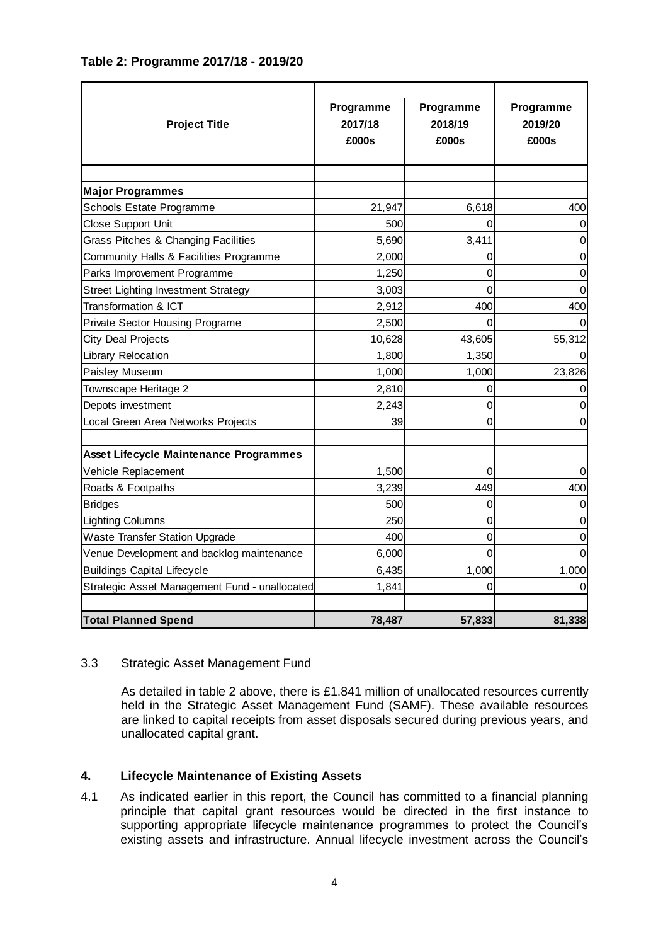| <b>Project Title</b>     | Programme<br>2017/18<br>£000s | Programme<br>2018/19<br>£000s | Programme<br>2019/20<br>£000s |
|--------------------------|-------------------------------|-------------------------------|-------------------------------|
|                          |                               |                               |                               |
| <b>Major Programmes</b>  |                               |                               |                               |
| Cohoole Estate Drogrammo | 24.047                        | $C0$ $C1$ $O1$                | Λ                             |

# **Table 2: Programme 2017/18 - 2019/20**

| <b>Project Title</b>                          | 2017/18<br>£000s | 2018/19<br>£000s | 2019/20<br>£000s |
|-----------------------------------------------|------------------|------------------|------------------|
|                                               |                  |                  |                  |
| <b>Major Programmes</b>                       |                  |                  |                  |
| Schools Estate Programme                      | 21,947           | 6,618            | 400              |
| <b>Close Support Unit</b>                     | 500              |                  |                  |
| Grass Pitches & Changing Facilities           | 5,690            | 3,411            | 0                |
| Community Halls & Facilities Programme        | 2,000            | 0                | 0                |
| Parks Improvement Programme                   | 1,250            | $\Omega$         | 0                |
| <b>Street Lighting Investment Strategy</b>    | 3,003            | 0                |                  |
| <b>Transformation &amp; ICT</b>               | 2,912            | 400              | 400              |
| <b>Private Sector Housing Programe</b>        | 2,500            | 0                |                  |
| <b>City Deal Projects</b>                     | 10,628           | 43,605           | 55,312           |
| Library Relocation                            | 1,800            | 1,350            |                  |
| Paisley Museum                                | 1,000            | 1,000            | 23,826           |
| Townscape Heritage 2                          | 2,810            | 0                |                  |
| Depots investment                             | 2,243            | 0                |                  |
| Local Green Area Networks Projects            | 39               | 0                | 0                |
| Asset Lifecycle Maintenance Programmes        |                  |                  |                  |
| Vehicle Replacement                           | 1,500            | 0                |                  |
| Roads & Footpaths                             | 3,239            | 449              | 400              |
| <b>Bridges</b>                                | 500              | 0                | 0                |
| <b>Lighting Columns</b>                       | 250              | 0                | 0                |
| <b>Waste Transfer Station Upgrade</b>         | 400              | 0                | 0                |
| Venue Development and backlog maintenance     | 6,000            | 0                |                  |
| <b>Buildings Capital Lifecycle</b>            | 6,435            | 1,000            | 1,000            |
| Strategic Asset Management Fund - unallocated | 1,841            | 0                | 0                |
| <b>Total Planned Spend</b>                    | 78,487           | 57,833           | 81,338           |

# 3.3 Strategic Asset Management Fund

As detailed in table 2 above, there is £1.841 million of unallocated resources currently held in the Strategic Asset Management Fund (SAMF). These available resources are linked to capital receipts from asset disposals secured during previous years, and unallocated capital grant.

# **4. Lifecycle Maintenance of Existing Assets**

4.1 As indicated earlier in this report, the Council has committed to a financial planning principle that capital grant resources would be directed in the first instance to supporting appropriate lifecycle maintenance programmes to protect the Council's existing assets and infrastructure. Annual lifecycle investment across the Council's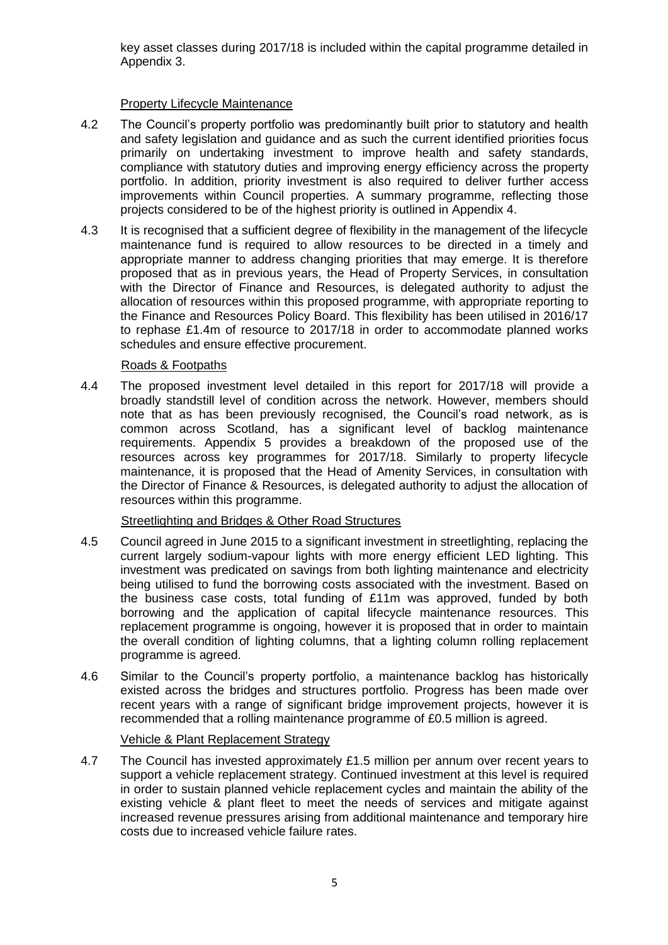key asset classes during 2017/18 is included within the capital programme detailed in Appendix 3.

# Property Lifecycle Maintenance

- 4.2 The Council's property portfolio was predominantly built prior to statutory and health and safety legislation and guidance and as such the current identified priorities focus primarily on undertaking investment to improve health and safety standards, compliance with statutory duties and improving energy efficiency across the property portfolio. In addition, priority investment is also required to deliver further access improvements within Council properties. A summary programme, reflecting those projects considered to be of the highest priority is outlined in Appendix 4.
- 4.3 It is recognised that a sufficient degree of flexibility in the management of the lifecycle maintenance fund is required to allow resources to be directed in a timely and appropriate manner to address changing priorities that may emerge. It is therefore proposed that as in previous years, the Head of Property Services, in consultation with the Director of Finance and Resources, is delegated authority to adjust the allocation of resources within this proposed programme, with appropriate reporting to the Finance and Resources Policy Board. This flexibility has been utilised in 2016/17 to rephase £1.4m of resource to 2017/18 in order to accommodate planned works schedules and ensure effective procurement.

### Roads & Footpaths

4.4 The proposed investment level detailed in this report for 2017/18 will provide a broadly standstill level of condition across the network. However, members should note that as has been previously recognised, the Council's road network, as is common across Scotland, has a significant level of backlog maintenance requirements. Appendix 5 provides a breakdown of the proposed use of the resources across key programmes for 2017/18. Similarly to property lifecycle maintenance, it is proposed that the Head of Amenity Services, in consultation with the Director of Finance & Resources, is delegated authority to adjust the allocation of resources within this programme.

### Streetlighting and Bridges & Other Road Structures

- 4.5 Council agreed in June 2015 to a significant investment in streetlighting, replacing the current largely sodium-vapour lights with more energy efficient LED lighting. This investment was predicated on savings from both lighting maintenance and electricity being utilised to fund the borrowing costs associated with the investment. Based on the business case costs, total funding of £11m was approved, funded by both borrowing and the application of capital lifecycle maintenance resources. This replacement programme is ongoing, however it is proposed that in order to maintain the overall condition of lighting columns, that a lighting column rolling replacement programme is agreed.
- 4.6 Similar to the Council's property portfolio, a maintenance backlog has historically existed across the bridges and structures portfolio. Progress has been made over recent years with a range of significant bridge improvement projects, however it is recommended that a rolling maintenance programme of £0.5 million is agreed.

### Vehicle & Plant Replacement Strategy

4.7 The Council has invested approximately £1.5 million per annum over recent years to support a vehicle replacement strategy. Continued investment at this level is required in order to sustain planned vehicle replacement cycles and maintain the ability of the existing vehicle & plant fleet to meet the needs of services and mitigate against increased revenue pressures arising from additional maintenance and temporary hire costs due to increased vehicle failure rates.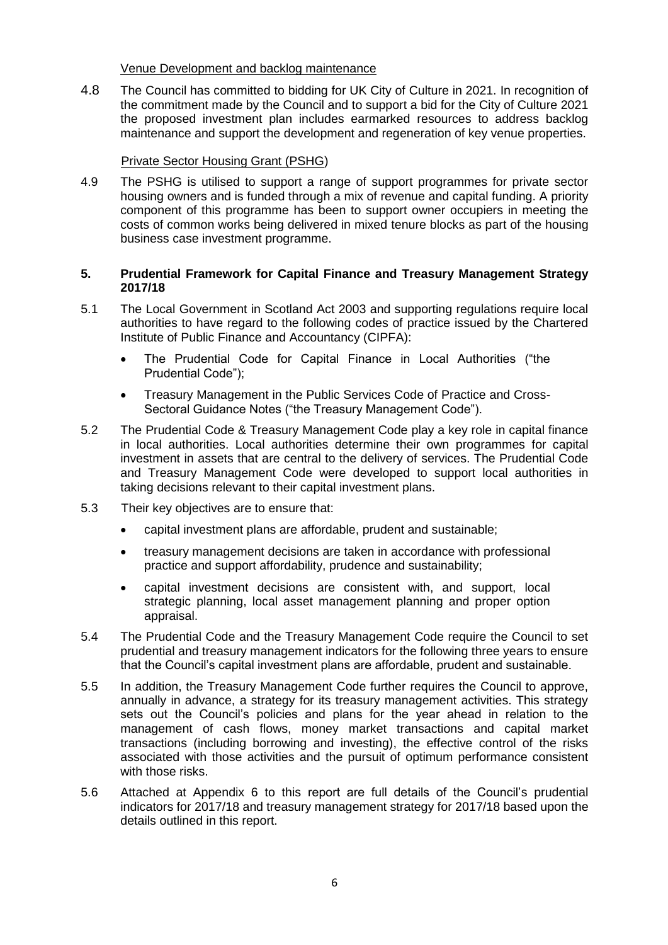Venue Development and backlog maintenance

4.8 The Council has committed to bidding for UK City of Culture in 2021. In recognition of the commitment made by the Council and to support a bid for the City of Culture 2021 the proposed investment plan includes earmarked resources to address backlog maintenance and support the development and regeneration of key venue properties.

### Private Sector Housing Grant (PSHG)

4.9 The PSHG is utilised to support a range of support programmes for private sector housing owners and is funded through a mix of revenue and capital funding. A priority component of this programme has been to support owner occupiers in meeting the costs of common works being delivered in mixed tenure blocks as part of the housing business case investment programme.

### **5. Prudential Framework for Capital Finance and Treasury Management Strategy 2017/18**

- 5.1 The Local Government in Scotland Act 2003 and supporting regulations require local authorities to have regard to the following codes of practice issued by the Chartered Institute of Public Finance and Accountancy (CIPFA):
	- The Prudential Code for Capital Finance in Local Authorities ("the Prudential Code");
	- Treasury Management in the Public Services Code of Practice and Cross-Sectoral Guidance Notes ("the Treasury Management Code").
- 5.2 The Prudential Code & Treasury Management Code play a key role in capital finance in local authorities. Local authorities determine their own programmes for capital investment in assets that are central to the delivery of services. The Prudential Code and Treasury Management Code were developed to support local authorities in taking decisions relevant to their capital investment plans.
- 5.3 Their key objectives are to ensure that:
	- capital investment plans are affordable, prudent and sustainable;
	- treasury management decisions are taken in accordance with professional practice and support affordability, prudence and sustainability;
	- capital investment decisions are consistent with, and support, local strategic planning, local asset management planning and proper option appraisal.
- 5.4 The Prudential Code and the Treasury Management Code require the Council to set prudential and treasury management indicators for the following three years to ensure that the Council's capital investment plans are affordable, prudent and sustainable.
- 5.5 In addition, the Treasury Management Code further requires the Council to approve, annually in advance, a strategy for its treasury management activities. This strategy sets out the Council's policies and plans for the year ahead in relation to the management of cash flows, money market transactions and capital market transactions (including borrowing and investing), the effective control of the risks associated with those activities and the pursuit of optimum performance consistent with those risks.
- 5.6 Attached at Appendix 6 to this report are full details of the Council's prudential indicators for 2017/18 and treasury management strategy for 2017/18 based upon the details outlined in this report.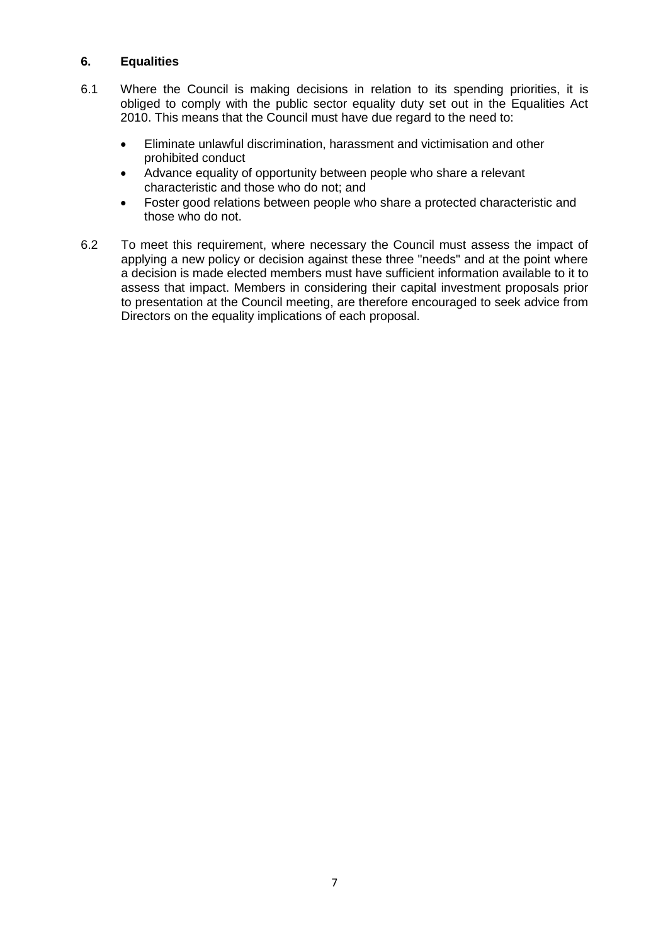# **6. Equalities**

- 6.1 Where the Council is making decisions in relation to its spending priorities, it is obliged to comply with the public sector equality duty set out in the Equalities Act 2010. This means that the Council must have due regard to the need to:
	- Eliminate unlawful discrimination, harassment and victimisation and other prohibited conduct
	- Advance equality of opportunity between people who share a relevant characteristic and those who do not; and
	- Foster good relations between people who share a protected characteristic and those who do not.
- 6.2 To meet this requirement, where necessary the Council must assess the impact of applying a new policy or decision against these three "needs" and at the point where a decision is made elected members must have sufficient information available to it to assess that impact. Members in considering their capital investment proposals prior to presentation at the Council meeting, are therefore encouraged to seek advice from Directors on the equality implications of each proposal.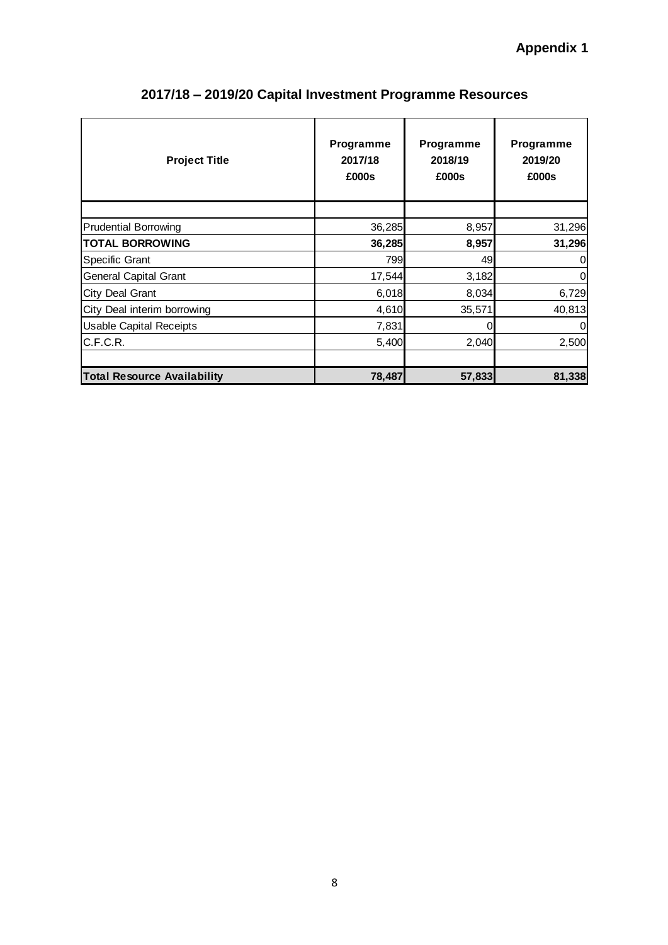| <b>Project Title</b>               | Programme<br>2017/18<br>£000s | Programme<br>2018/19<br>£000s | <b>Programme</b><br>2019/20<br>£000s |
|------------------------------------|-------------------------------|-------------------------------|--------------------------------------|
|                                    |                               |                               |                                      |
| <b>Prudential Borrowing</b>        | 36,285                        | 8,957                         | 31,296                               |
| <b>TOTAL BORROWING</b>             | 36,285                        | 8,957                         | 31,296                               |
| Specific Grant                     | 799                           | 49                            | $\overline{0}$                       |
| General Capital Grant              | 17,544                        | 3,182                         | $\overline{0}$                       |
| City Deal Grant                    | 6,018                         | 8,034                         | 6,729                                |
| City Deal interim borrowing        | 4,610                         | 35,571                        | 40,813                               |
| <b>Usable Capital Receipts</b>     | 7,831                         | 0                             | $\overline{0}$                       |
| C.F.C.R.                           | 5,400                         | 2,040                         | 2,500                                |
| <b>Total Resource Availability</b> | 78,487                        | 57,833                        | 81,338                               |

# **2017/18 – 2019/20 Capital Investment Programme Resources**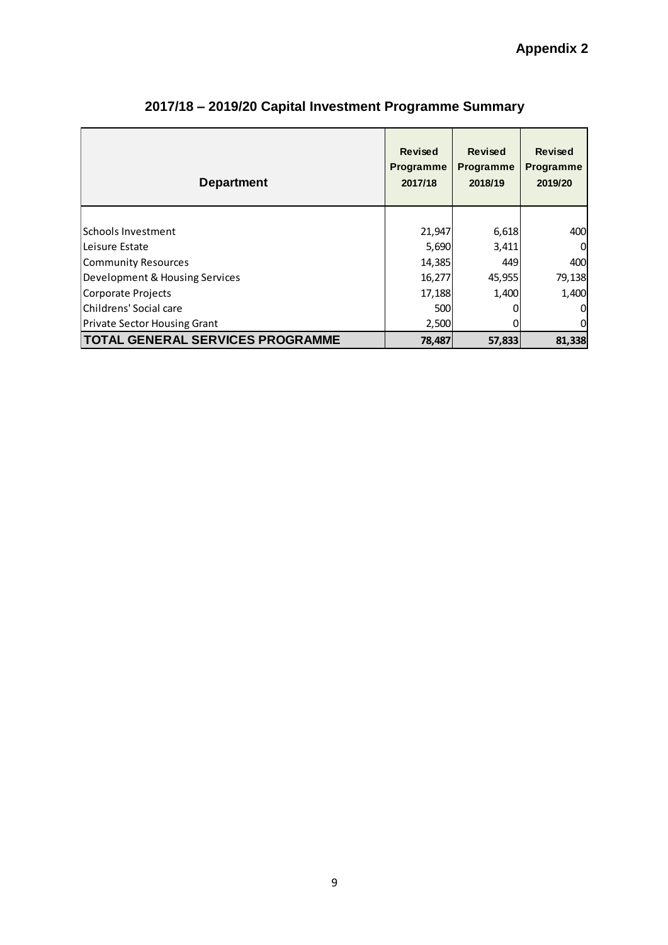| <b>Department</b>                       | <b>Revised</b><br><b>Programme</b><br>2017/18 | <b>Revised</b><br><b>Programme</b><br>2018/19 | <b>Revised</b><br><b>Programme</b><br>2019/20 |
|-----------------------------------------|-----------------------------------------------|-----------------------------------------------|-----------------------------------------------|
|                                         |                                               |                                               |                                               |
| lSchools Investment                     | 21,947                                        | 6,618                                         | 400                                           |
| lLeisure Estate                         | 5,690                                         | 3,411                                         | $\overline{0}$                                |
| Community Resources                     | 14,385                                        | 449                                           | 400                                           |
| Development & Housing Services          | 16,277                                        | 45,955                                        | 79,138                                        |
| Corporate Projects                      | 17,188                                        | 1,400                                         | 1,400                                         |
| Childrens' Social care                  | 500                                           |                                               | $\Omega$                                      |
| <b>Private Sector Housing Grant</b>     | 2,500                                         |                                               | 0                                             |
| <b>TOTAL GENERAL SERVICES PROGRAMME</b> | 78,487                                        | 57,833                                        | 81,338                                        |

# **2017/18 – 2019/20 Capital Investment Programme Summary**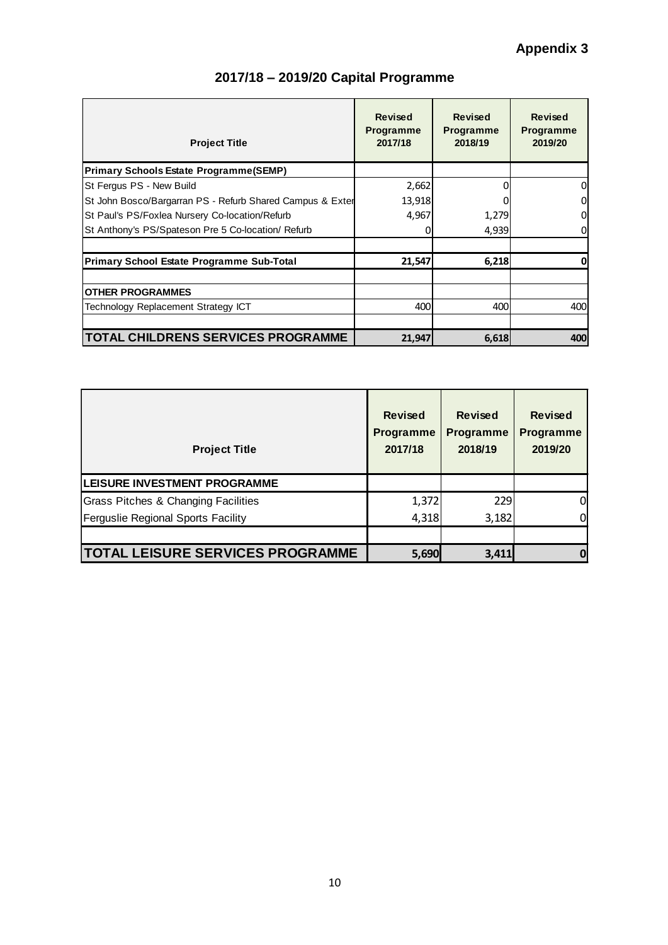| <b>Project Title</b>                                      | <b>Revised</b><br><b>Programme</b><br>2017/18 | <b>Revised</b><br><b>Programme</b><br>2018/19 | <b>Revised</b><br><b>Programme</b><br>2019/20 |
|-----------------------------------------------------------|-----------------------------------------------|-----------------------------------------------|-----------------------------------------------|
| <b>Primary Schools Estate Programme (SEMP)</b>            |                                               |                                               |                                               |
| St Fergus PS - New Build                                  | 2,662                                         |                                               | 0                                             |
| St John Bosco/Bargarran PS - Refurb Shared Campus & Exter | 13,918                                        |                                               | 0                                             |
| St Paul's PS/Foxlea Nursery Co-location/Refurb            | 4,967                                         | 1,279                                         | 0                                             |
| St Anthony's PS/Spateson Pre 5 Co-location/ Refurb        |                                               | 4,939                                         | 0                                             |
| <b>Primary School Estate Programme Sub-Total</b>          | 21,547                                        | 6,218                                         | 0                                             |
| <b>OTHER PROGRAMMES</b>                                   |                                               |                                               |                                               |
| Technology Replacement Strategy ICT                       | 400                                           | 400                                           | 400                                           |
|                                                           |                                               |                                               |                                               |
| <b>TOTAL CHILDRENS SERVICES PROGRAMME</b>                 | 21,947                                        | 6,618                                         | 400                                           |

| <b>Project Title</b>                    | <b>Revised</b><br><b>Programme</b><br>2017/18 | <b>Revised</b><br><b>Programme</b><br>2018/19 | <b>Revised</b><br><b>Programme</b><br>2019/20 |
|-----------------------------------------|-----------------------------------------------|-----------------------------------------------|-----------------------------------------------|
| <b>LEISURE INVESTMENT PROGRAMME</b>     |                                               |                                               |                                               |
| Grass Pitches & Changing Facilities     | 1,372                                         | 229                                           | 0                                             |
| Ferguslie Regional Sports Facility      | 4,318                                         | 3,182                                         | 0                                             |
|                                         |                                               |                                               |                                               |
| <b>TOTAL LEISURE SERVICES PROGRAMME</b> | 5,690                                         | 3,411                                         |                                               |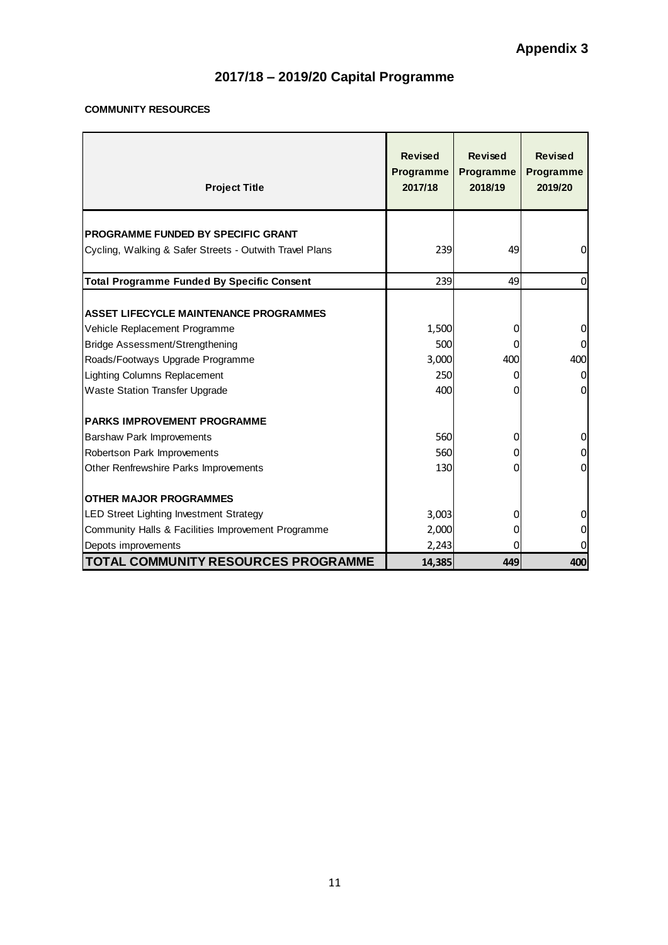# **COMMUNITY RESOURCES**

| <b>Project Title</b>                                    | <b>Revised</b><br>Programme<br>2017/18 | <b>Revised</b><br><b>Programme</b><br>2018/19 | <b>Revised</b><br><b>Programme</b><br>2019/20 |
|---------------------------------------------------------|----------------------------------------|-----------------------------------------------|-----------------------------------------------|
| <b>PROGRAMME FUNDED BY SPECIFIC GRANT</b>               |                                        |                                               |                                               |
| Cycling, Walking & Safer Streets - Outwith Travel Plans | 239                                    | 49                                            | 0                                             |
|                                                         |                                        |                                               |                                               |
| <b>Total Programme Funded By Specific Consent</b>       | 239                                    | 49                                            | $\mathbf 0$                                   |
|                                                         |                                        |                                               |                                               |
| <b>ASSET LIFECYCLE MAINTENANCE PROGRAMMES</b>           |                                        |                                               |                                               |
| Vehicle Replacement Programme                           | 1,500                                  | 0                                             | $\mathbf 0$                                   |
| <b>Bridge Assessment/Strengthening</b>                  | 500                                    | 0                                             | 0                                             |
| Roads/Footways Upgrade Programme                        | 3,000                                  | 400                                           | 400                                           |
| Lighting Columns Replacement                            | 250                                    | 0                                             | 0                                             |
| <b>Waste Station Transfer Upgrade</b>                   | 400                                    | 0                                             | 0                                             |
| <b>PARKS IMPROVEMENT PROGRAMME</b>                      |                                        |                                               |                                               |
| Barshaw Park Improvements                               | 560                                    | 0                                             | 0                                             |
| Robertson Park Improvements                             | 560                                    | 0                                             | $\mathbf 0$                                   |
| Other Renfrewshire Parks Improvements                   | 130                                    | 0                                             | $\mathbf 0$                                   |
| <b>OTHER MAJOR PROGRAMMES</b>                           |                                        |                                               |                                               |
| LED Street Lighting Investment Strategy                 | 3,003                                  | 0                                             | 0                                             |
| Community Halls & Facilities Improvement Programme      | 2,000                                  | 0                                             | 0                                             |
| Depots improvements                                     | 2,243                                  | 0                                             | 0                                             |
| <b>TOTAL COMMUNITY RESOURCES PROGRAMME</b>              | 14,385                                 | 449                                           | 400                                           |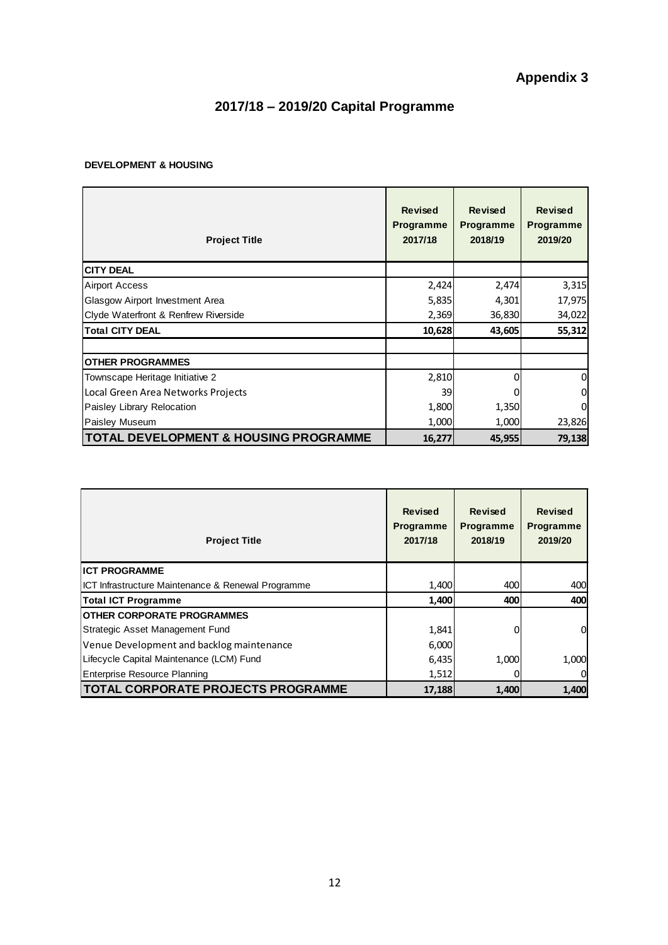#### **DEVELOPMENT & HOUSING**

| <b>Project Title</b>                             | <b>Revised</b><br><b>Programme</b><br>2017/18 | <b>Revised</b><br><b>Programme</b><br>2018/19 | <b>Revised</b><br><b>Programme</b><br>2019/20 |
|--------------------------------------------------|-----------------------------------------------|-----------------------------------------------|-----------------------------------------------|
| <b>CITY DEAL</b>                                 |                                               |                                               |                                               |
| <b>Airport Access</b>                            | 2,424                                         | 2,474                                         | 3,315                                         |
| Glasgow Airport Investment Area                  | 5,835                                         | 4,301                                         | 17,975                                        |
| Clyde Waterfront & Renfrew Riverside             | 2,369                                         | 36,830                                        | 34,022                                        |
| <b>Total CITY DEAL</b>                           | 10,628                                        | 43,605                                        | 55,312                                        |
|                                                  |                                               |                                               |                                               |
| <b>OTHER PROGRAMMES</b>                          |                                               |                                               |                                               |
| Townscape Heritage Initiative 2                  | 2,810                                         | ი                                             | 0                                             |
| Local Green Area Networks Projects               | 39                                            |                                               | 0                                             |
| Paisley Library Relocation                       | 1,800                                         | 1,350                                         | 0                                             |
| <b>Paisley Museum</b>                            | 1,000                                         | 1,000                                         | 23,826                                        |
| <b>TOTAL DEVELOPMENT &amp; HOUSING PROGRAMME</b> | 16,277                                        | 45,955                                        | 79,138                                        |

| <b>Project Title</b>                               | Revised<br>Programme<br>2017/18 | <b>Revised</b><br>Programme<br>2018/19 | <b>Revised</b><br><b>Programme</b><br>2019/20 |
|----------------------------------------------------|---------------------------------|----------------------------------------|-----------------------------------------------|
| <b>IICT PROGRAMME</b>                              |                                 |                                        |                                               |
| ICT Infrastructure Maintenance & Renewal Programme | 1,400                           | 400                                    | 400                                           |
| <b>Total ICT Programme</b>                         | 1,400                           | 400                                    | 400                                           |
| <b>OTHER CORPORATE PROGRAMMES</b>                  |                                 |                                        |                                               |
| Strategic Asset Management Fund                    | 1,841                           | 0                                      | $\mathbf 0$                                   |
| Venue Development and backlog maintenance          | 6,000                           |                                        |                                               |
| Lifecycle Capital Maintenance (LCM) Fund           | 6,435                           | 1,000                                  | 1,000                                         |
| <b>Enterprise Resource Planning</b>                | 1,512                           | 0                                      | 0                                             |
| <b>TOTAL CORPORATE PROJECTS PROGRAMME</b>          | 17,188                          | 1,400                                  | 1,400                                         |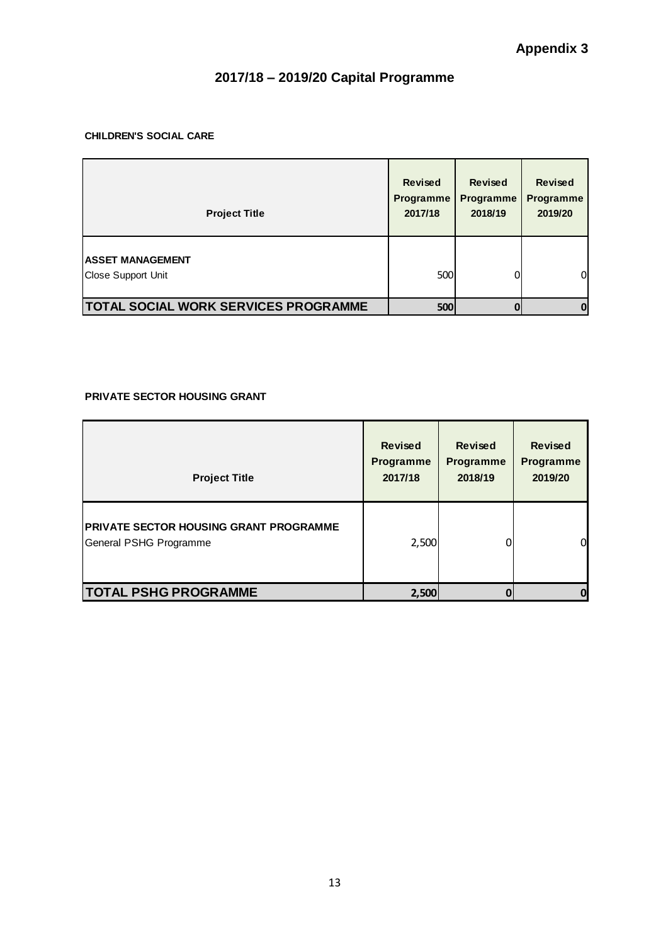#### **CHILDREN'S SOCIAL CARE**

| <b>Project Title</b>                          | <b>Revised</b><br><b>Programme</b><br>2017/18 | <b>Revised</b><br><b>Programme</b><br>2018/19 | <b>Revised</b><br><b>Programme</b><br>2019/20 |
|-----------------------------------------------|-----------------------------------------------|-----------------------------------------------|-----------------------------------------------|
| <b>ASSET MANAGEMENT</b><br>Close Support Unit | 500                                           | 0                                             | <sub>0</sub>                                  |
| <b>TOTAL SOCIAL WORK SERVICES PROGRAMME</b>   | 500                                           | 0                                             | $\mathbf 0$                                   |

#### **PRIVATE SECTOR HOUSING GRANT**

| <b>Project Title</b>                                                    | <b>Revised</b><br><b>Programme</b><br>2017/18 | <b>Revised</b><br><b>Programme</b><br>2018/19 | <b>Revised</b><br><b>Programme</b><br>2019/20 |
|-------------------------------------------------------------------------|-----------------------------------------------|-----------------------------------------------|-----------------------------------------------|
| <b>PRIVATE SECTOR HOUSING GRANT PROGRAMME</b><br>General PSHG Programme | 2,500                                         |                                               | 0                                             |
| <b>TOTAL PSHG PROGRAMME</b>                                             | 2,500                                         |                                               | 0                                             |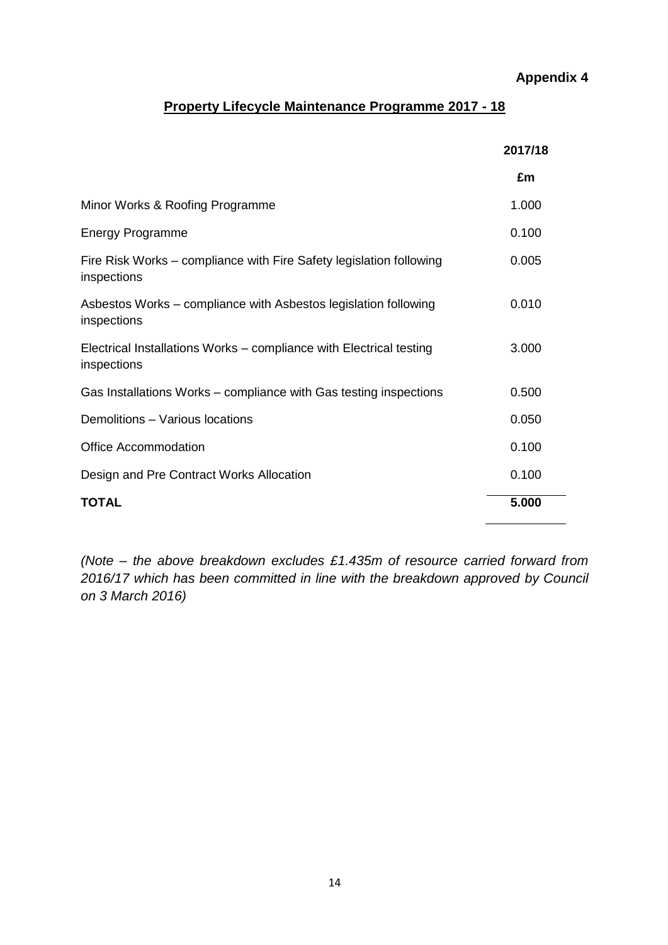# **Appendix 4**

# **Property Lifecycle Maintenance Programme 2017 - 18**

|                                                                                    | 2017/18 |
|------------------------------------------------------------------------------------|---------|
|                                                                                    | £m      |
| Minor Works & Roofing Programme                                                    | 1.000   |
| <b>Energy Programme</b>                                                            | 0.100   |
| Fire Risk Works - compliance with Fire Safety legislation following<br>inspections | 0.005   |
| Asbestos Works – compliance with Asbestos legislation following<br>inspections     | 0.010   |
| Electrical Installations Works – compliance with Electrical testing<br>inspections | 3.000   |
| Gas Installations Works - compliance with Gas testing inspections                  | 0.500   |
| Demolitions - Various locations                                                    | 0.050   |
| <b>Office Accommodation</b>                                                        | 0.100   |
| Design and Pre Contract Works Allocation                                           | 0.100   |
| <b>TOTAL</b>                                                                       | 5.000   |

*(Note – the above breakdown excludes £1.435m of resource carried forward from 2016/17 which has been committed in line with the breakdown approved by Council on 3 March 2016)*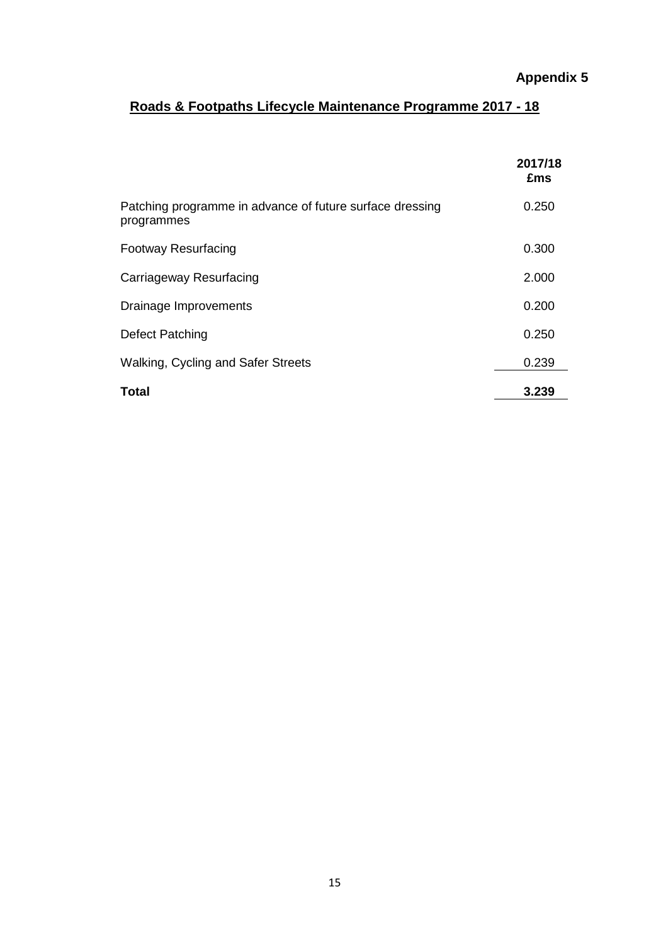# **Roads & Footpaths Lifecycle Maintenance Programme 2017 - 18**

|                                                                        | 2017/18<br>£ms |
|------------------------------------------------------------------------|----------------|
| Patching programme in advance of future surface dressing<br>programmes | 0.250          |
| <b>Footway Resurfacing</b>                                             | 0.300          |
| Carriageway Resurfacing                                                | 2.000          |
| Drainage Improvements                                                  | 0.200          |
| Defect Patching                                                        | 0.250          |
| Walking, Cycling and Safer Streets                                     | 0.239          |
| <b>Total</b>                                                           | 3.239          |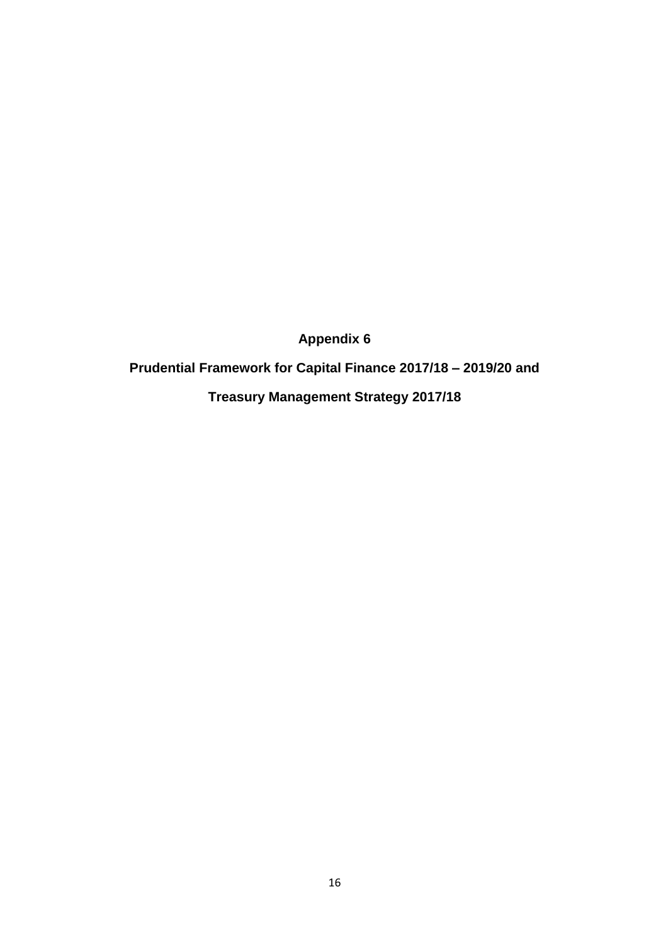**Appendix 6**

**Prudential Framework for Capital Finance 2017/18 – 2019/20 and** 

**Treasury Management Strategy 2017/18**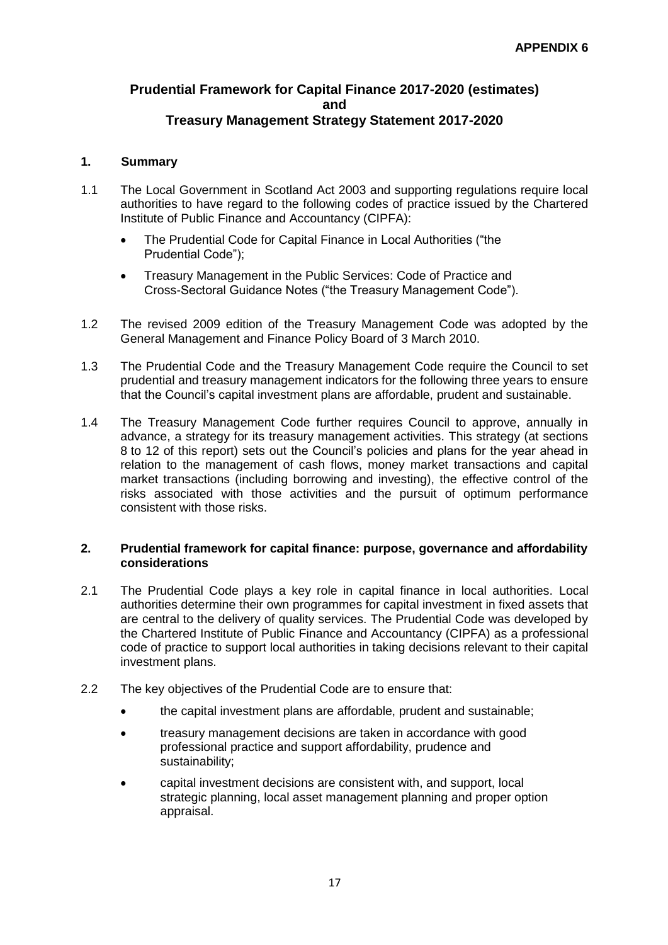### **Prudential Framework for Capital Finance 2017-2020 (estimates) and Treasury Management Strategy Statement 2017-2020**

### **1. Summary**

- 1.1 The Local Government in Scotland Act 2003 and supporting regulations require local authorities to have regard to the following codes of practice issued by the Chartered Institute of Public Finance and Accountancy (CIPFA):
	- The Prudential Code for Capital Finance in Local Authorities ("the Prudential Code");
	- **•** Treasury Management in the Public Services: Code of Practice and Cross-Sectoral Guidance Notes ("the Treasury Management Code").
- 1.2 The revised 2009 edition of the Treasury Management Code was adopted by the General Management and Finance Policy Board of 3 March 2010.
- 1.3 The Prudential Code and the Treasury Management Code require the Council to set prudential and treasury management indicators for the following three years to ensure that the Council's capital investment plans are affordable, prudent and sustainable.
- 1.4 The Treasury Management Code further requires Council to approve, annually in advance, a strategy for its treasury management activities. This strategy (at sections 8 to 12 of this report) sets out the Council's policies and plans for the year ahead in relation to the management of cash flows, money market transactions and capital market transactions (including borrowing and investing), the effective control of the risks associated with those activities and the pursuit of optimum performance consistent with those risks.

#### **2. Prudential framework for capital finance: purpose, governance and affordability considerations**

- 2.1 The Prudential Code plays a key role in capital finance in local authorities. Local authorities determine their own programmes for capital investment in fixed assets that are central to the delivery of quality services. The Prudential Code was developed by the Chartered Institute of Public Finance and Accountancy (CIPFA) as a professional code of practice to support local authorities in taking decisions relevant to their capital investment plans.
- 2.2 The key objectives of the Prudential Code are to ensure that:
	- the capital investment plans are affordable, prudent and sustainable;
	- treasury management decisions are taken in accordance with good professional practice and support affordability, prudence and sustainability;
	- capital investment decisions are consistent with, and support, local strategic planning, local asset management planning and proper option appraisal.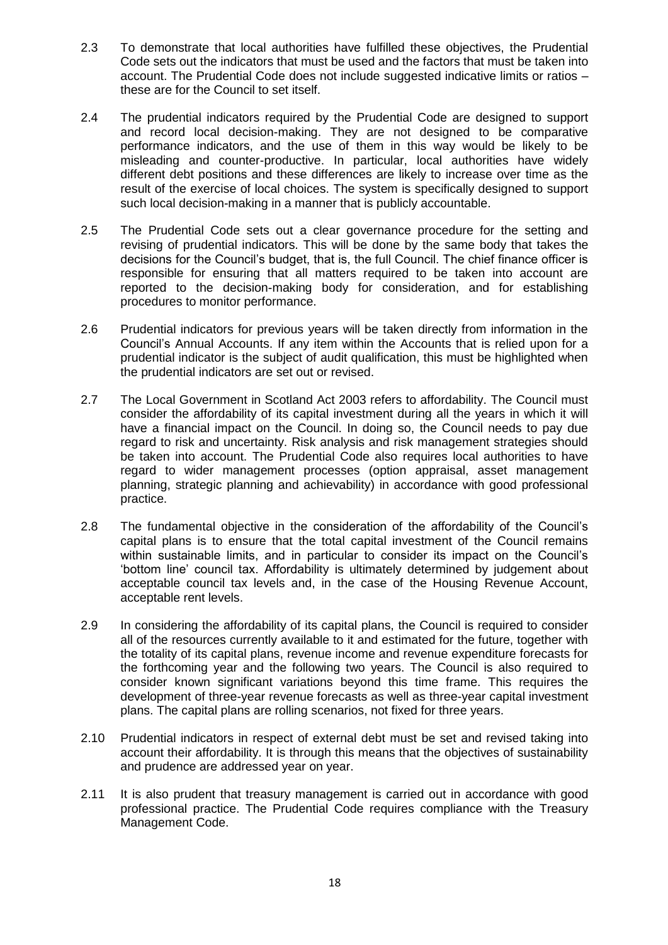- 2.3 To demonstrate that local authorities have fulfilled these objectives, the Prudential Code sets out the indicators that must be used and the factors that must be taken into account. The Prudential Code does not include suggested indicative limits or ratios – these are for the Council to set itself.
- 2.4 The prudential indicators required by the Prudential Code are designed to support and record local decision-making. They are not designed to be comparative performance indicators, and the use of them in this way would be likely to be misleading and counter-productive. In particular, local authorities have widely different debt positions and these differences are likely to increase over time as the result of the exercise of local choices. The system is specifically designed to support such local decision-making in a manner that is publicly accountable.
- 2.5 The Prudential Code sets out a clear governance procedure for the setting and revising of prudential indicators. This will be done by the same body that takes the decisions for the Council's budget, that is, the full Council. The chief finance officer is responsible for ensuring that all matters required to be taken into account are reported to the decision-making body for consideration, and for establishing procedures to monitor performance.
- 2.6 Prudential indicators for previous years will be taken directly from information in the Council's Annual Accounts. If any item within the Accounts that is relied upon for a prudential indicator is the subject of audit qualification, this must be highlighted when the prudential indicators are set out or revised.
- 2.7 The Local Government in Scotland Act 2003 refers to affordability. The Council must consider the affordability of its capital investment during all the years in which it will have a financial impact on the Council. In doing so, the Council needs to pay due regard to risk and uncertainty. Risk analysis and risk management strategies should be taken into account. The Prudential Code also requires local authorities to have regard to wider management processes (option appraisal, asset management planning, strategic planning and achievability) in accordance with good professional practice.
- 2.8 The fundamental objective in the consideration of the affordability of the Council's capital plans is to ensure that the total capital investment of the Council remains within sustainable limits, and in particular to consider its impact on the Council's 'bottom line' council tax. Affordability is ultimately determined by judgement about acceptable council tax levels and, in the case of the Housing Revenue Account, acceptable rent levels.
- 2.9 In considering the affordability of its capital plans, the Council is required to consider all of the resources currently available to it and estimated for the future, together with the totality of its capital plans, revenue income and revenue expenditure forecasts for the forthcoming year and the following two years. The Council is also required to consider known significant variations beyond this time frame. This requires the development of three-year revenue forecasts as well as three-year capital investment plans. The capital plans are rolling scenarios, not fixed for three years.
- 2.10 Prudential indicators in respect of external debt must be set and revised taking into account their affordability. It is through this means that the objectives of sustainability and prudence are addressed year on year.
- 2.11 It is also prudent that treasury management is carried out in accordance with good professional practice. The Prudential Code requires compliance with the Treasury Management Code.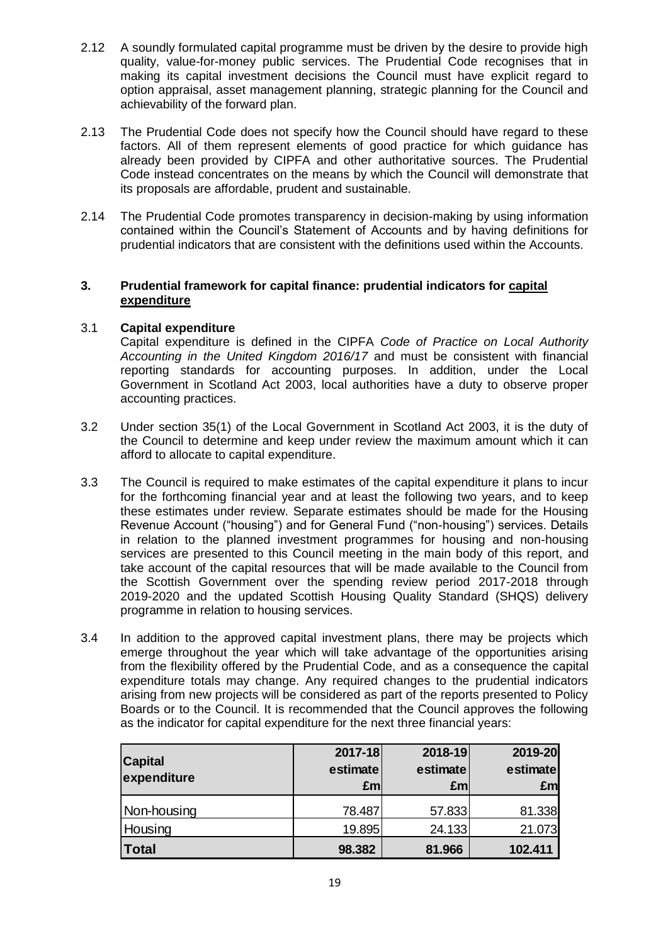- 2.12 A soundly formulated capital programme must be driven by the desire to provide high quality, value-for-money public services. The Prudential Code recognises that in making its capital investment decisions the Council must have explicit regard to option appraisal, asset management planning, strategic planning for the Council and achievability of the forward plan.
- 2.13 The Prudential Code does not specify how the Council should have regard to these factors. All of them represent elements of good practice for which guidance has already been provided by CIPFA and other authoritative sources. The Prudential Code instead concentrates on the means by which the Council will demonstrate that its proposals are affordable, prudent and sustainable.
- 2.14 The Prudential Code promotes transparency in decision-making by using information contained within the Council's Statement of Accounts and by having definitions for prudential indicators that are consistent with the definitions used within the Accounts.

### **3. Prudential framework for capital finance: prudential indicators for capital expenditure**

### 3.1 **Capital expenditure**

Capital expenditure is defined in the CIPFA *Code of Practice on Local Authority Accounting in the United Kingdom 2016/17* and must be consistent with financial reporting standards for accounting purposes. In addition, under the Local Government in Scotland Act 2003, local authorities have a duty to observe proper accounting practices.

- 3.2 Under section 35(1) of the Local Government in Scotland Act 2003, it is the duty of the Council to determine and keep under review the maximum amount which it can afford to allocate to capital expenditure.
- 3.3 The Council is required to make estimates of the capital expenditure it plans to incur for the forthcoming financial year and at least the following two years, and to keep these estimates under review. Separate estimates should be made for the Housing Revenue Account ("housing") and for General Fund ("non-housing") services. Details in relation to the planned investment programmes for housing and non-housing services are presented to this Council meeting in the main body of this report, and take account of the capital resources that will be made available to the Council from the Scottish Government over the spending review period 2017-2018 through 2019-2020 and the updated Scottish Housing Quality Standard (SHQS) delivery programme in relation to housing services.
- 3.4 In addition to the approved capital investment plans, there may be projects which emerge throughout the year which will take advantage of the opportunities arising from the flexibility offered by the Prudential Code, and as a consequence the capital expenditure totals may change. Any required changes to the prudential indicators arising from new projects will be considered as part of the reports presented to Policy Boards or to the Council. It is recommended that the Council approves the following as the indicator for capital expenditure for the next three financial years:

| <b>Capital</b><br>expenditure | 2017-18<br>estimate<br>£m | 2018-19<br>estimate<br>£ml | 2019-20<br>estimate<br>£m |
|-------------------------------|---------------------------|----------------------------|---------------------------|
| Non-housing                   | 78.487                    | 57.833                     | 81.338                    |
| Housing                       | 19.895                    | 24.133                     | 21.073                    |
| <b>Total</b>                  | 98.382                    | 81.966                     | 102.411                   |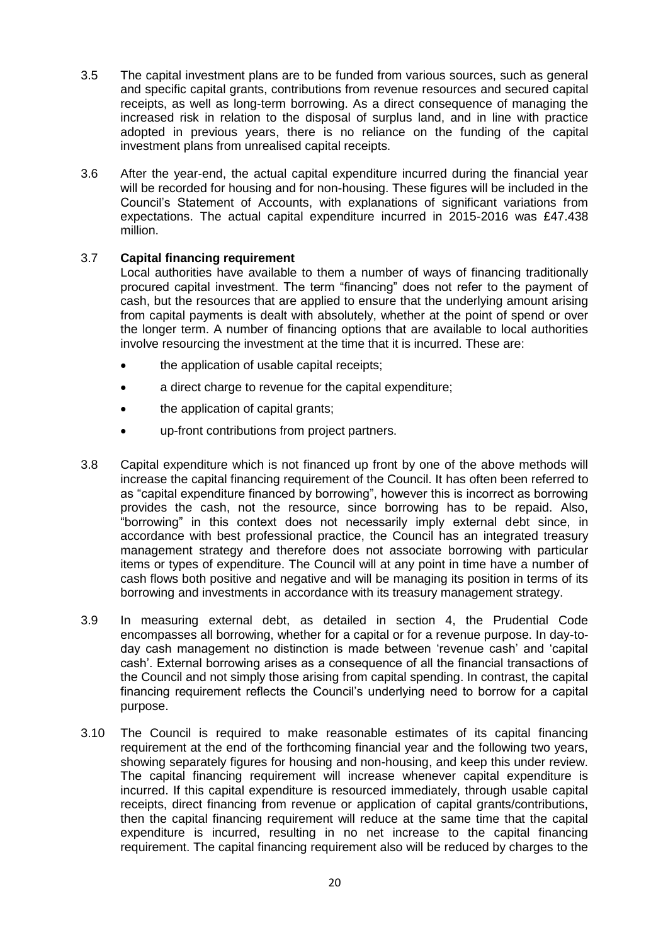- 3.5 The capital investment plans are to be funded from various sources, such as general and specific capital grants, contributions from revenue resources and secured capital receipts, as well as long-term borrowing. As a direct consequence of managing the increased risk in relation to the disposal of surplus land, and in line with practice adopted in previous years, there is no reliance on the funding of the capital investment plans from unrealised capital receipts.
- 3.6 After the year-end, the actual capital expenditure incurred during the financial year will be recorded for housing and for non-housing. These figures will be included in the Council's Statement of Accounts, with explanations of significant variations from expectations. The actual capital expenditure incurred in 2015-2016 was £47.438 million.

# 3.7 **Capital financing requirement**

Local authorities have available to them a number of ways of financing traditionally procured capital investment. The term "financing" does not refer to the payment of cash, but the resources that are applied to ensure that the underlying amount arising from capital payments is dealt with absolutely, whether at the point of spend or over the longer term. A number of financing options that are available to local authorities involve resourcing the investment at the time that it is incurred. These are:

- the application of usable capital receipts;
- a direct charge to revenue for the capital expenditure;
- the application of capital grants;
- up-front contributions from project partners.
- 3.8 Capital expenditure which is not financed up front by one of the above methods will increase the capital financing requirement of the Council. It has often been referred to as "capital expenditure financed by borrowing", however this is incorrect as borrowing provides the cash, not the resource, since borrowing has to be repaid. Also, "borrowing" in this context does not necessarily imply external debt since, in accordance with best professional practice, the Council has an integrated treasury management strategy and therefore does not associate borrowing with particular items or types of expenditure. The Council will at any point in time have a number of cash flows both positive and negative and will be managing its position in terms of its borrowing and investments in accordance with its treasury management strategy.
- 3.9 In measuring external debt, as detailed in section 4, the Prudential Code encompasses all borrowing, whether for a capital or for a revenue purpose. In day-today cash management no distinction is made between 'revenue cash' and 'capital cash'. External borrowing arises as a consequence of all the financial transactions of the Council and not simply those arising from capital spending. In contrast, the capital financing requirement reflects the Council's underlying need to borrow for a capital purpose.
- 3.10 The Council is required to make reasonable estimates of its capital financing requirement at the end of the forthcoming financial year and the following two years, showing separately figures for housing and non-housing, and keep this under review. The capital financing requirement will increase whenever capital expenditure is incurred. If this capital expenditure is resourced immediately, through usable capital receipts, direct financing from revenue or application of capital grants/contributions, then the capital financing requirement will reduce at the same time that the capital expenditure is incurred, resulting in no net increase to the capital financing requirement. The capital financing requirement also will be reduced by charges to the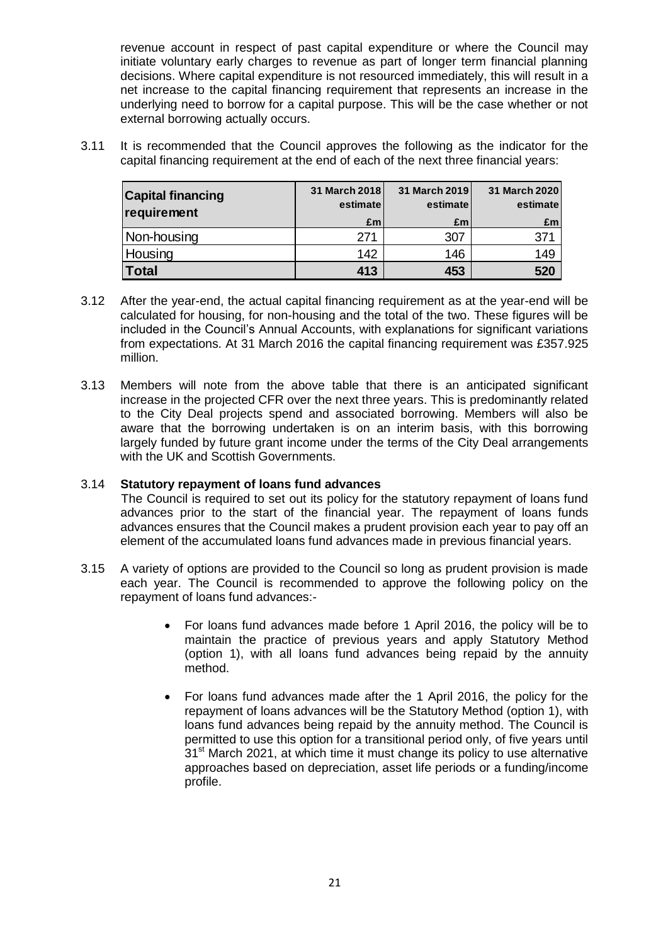revenue account in respect of past capital expenditure or where the Council may initiate voluntary early charges to revenue as part of longer term financial planning decisions. Where capital expenditure is not resourced immediately, this will result in a net increase to the capital financing requirement that represents an increase in the underlying need to borrow for a capital purpose. This will be the case whether or not external borrowing actually occurs.

3.11 It is recommended that the Council approves the following as the indicator for the capital financing requirement at the end of each of the next three financial years:

| <b>Capital financing</b><br>requirement | 31 March 2018<br>estimate | 31 March 2019<br>estimate | 31 March 2020<br>estimate |
|-----------------------------------------|---------------------------|---------------------------|---------------------------|
|                                         | £m                        | £m                        | £m                        |
| Non-housing                             | 271                       | 307                       | 371                       |
| Housing                                 | 142                       | 146                       | 149                       |
| Total                                   | 413                       | 453                       | 520                       |

- 3.12 After the year-end, the actual capital financing requirement as at the year-end will be calculated for housing, for non-housing and the total of the two. These figures will be included in the Council's Annual Accounts, with explanations for significant variations from expectations. At 31 March 2016 the capital financing requirement was £357.925 million.
- 3.13 Members will note from the above table that there is an anticipated significant increase in the projected CFR over the next three years. This is predominantly related to the City Deal projects spend and associated borrowing. Members will also be aware that the borrowing undertaken is on an interim basis, with this borrowing largely funded by future grant income under the terms of the City Deal arrangements with the UK and Scottish Governments.

### 3.14 **Statutory repayment of loans fund advances**

The Council is required to set out its policy for the statutory repayment of loans fund advances prior to the start of the financial year. The repayment of loans funds advances ensures that the Council makes a prudent provision each year to pay off an element of the accumulated loans fund advances made in previous financial years.

- 3.15 A variety of options are provided to the Council so long as prudent provision is made each year. The Council is recommended to approve the following policy on the repayment of loans fund advances:-
	- For loans fund advances made before 1 April 2016, the policy will be to maintain the practice of previous years and apply Statutory Method (option 1), with all loans fund advances being repaid by the annuity method.
	- For loans fund advances made after the 1 April 2016, the policy for the repayment of loans advances will be the Statutory Method (option 1), with loans fund advances being repaid by the annuity method. The Council is permitted to use this option for a transitional period only, of five years until 31<sup>st</sup> March 2021, at which time it must change its policy to use alternative approaches based on depreciation, asset life periods or a funding/income profile.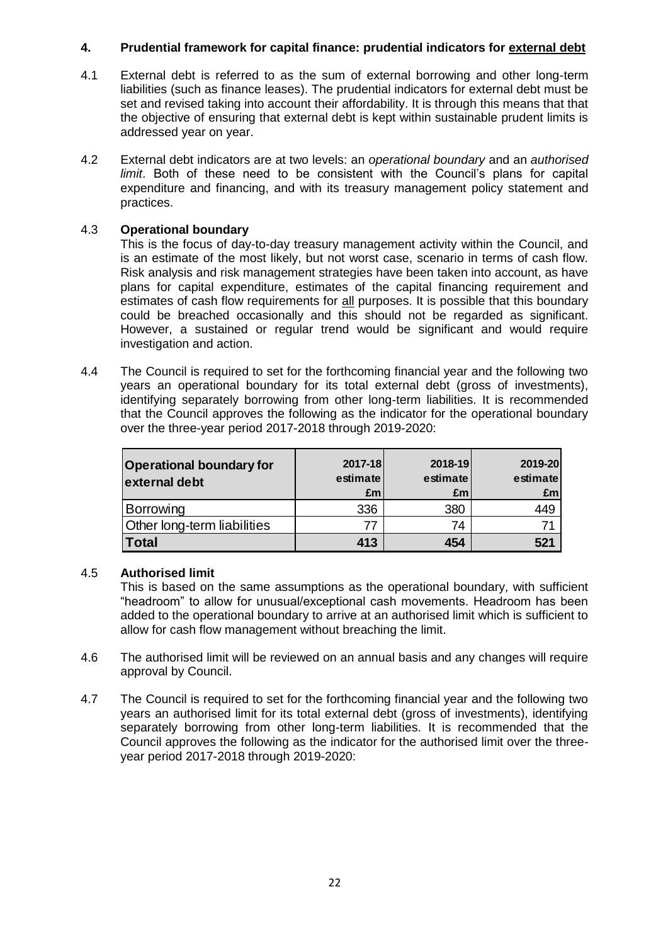# **4. Prudential framework for capital finance: prudential indicators for external debt**

- 4.1 External debt is referred to as the sum of external borrowing and other long-term liabilities (such as finance leases). The prudential indicators for external debt must be set and revised taking into account their affordability. It is through this means that that the objective of ensuring that external debt is kept within sustainable prudent limits is addressed year on year.
- 4.2 External debt indicators are at two levels: an *operational boundary* and an *authorised limit*. Both of these need to be consistent with the Council's plans for capital expenditure and financing, and with its treasury management policy statement and practices.

# 4.3 **Operational boundary**

This is the focus of day-to-day treasury management activity within the Council, and is an estimate of the most likely, but not worst case, scenario in terms of cash flow. Risk analysis and risk management strategies have been taken into account, as have plans for capital expenditure, estimates of the capital financing requirement and estimates of cash flow requirements for all purposes. It is possible that this boundary could be breached occasionally and this should not be regarded as significant. However, a sustained or regular trend would be significant and would require investigation and action.

4.4 The Council is required to set for the forthcoming financial year and the following two years an operational boundary for its total external debt (gross of investments), identifying separately borrowing from other long-term liabilities. It is recommended that the Council approves the following as the indicator for the operational boundary over the three-year period 2017-2018 through 2019-2020:

| <b>Operational boundary for</b><br>external debt | 2017-18<br>estimate<br>£m | 2018-19<br>estimate<br>Em | 2019-20<br>estimate<br>£m |
|--------------------------------------------------|---------------------------|---------------------------|---------------------------|
| Borrowing                                        | 336                       | 380                       | 449                       |
| Other long-term liabilities                      | 77                        | 74                        |                           |
| <b>Total</b>                                     | 413                       | 454                       | 521                       |

### 4.5 **Authorised limit**

This is based on the same assumptions as the operational boundary, with sufficient "headroom" to allow for unusual/exceptional cash movements. Headroom has been added to the operational boundary to arrive at an authorised limit which is sufficient to allow for cash flow management without breaching the limit.

- 4.6 The authorised limit will be reviewed on an annual basis and any changes will require approval by Council.
- 4.7 The Council is required to set for the forthcoming financial year and the following two years an authorised limit for its total external debt (gross of investments), identifying separately borrowing from other long-term liabilities. It is recommended that the Council approves the following as the indicator for the authorised limit over the threeyear period 2017-2018 through 2019-2020: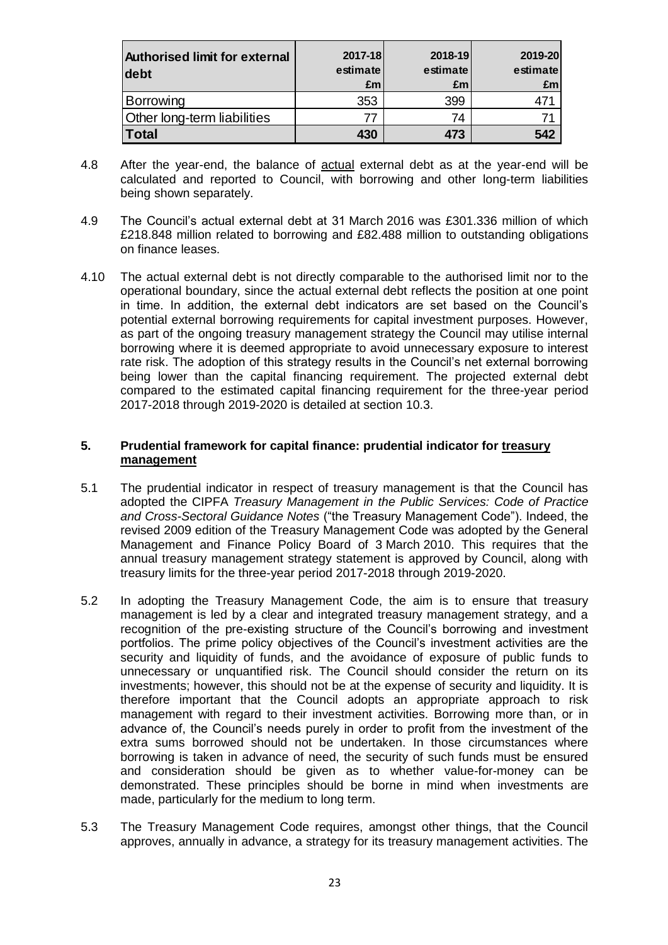| <b>Authorised limit for external</b><br>debt | 2017-18<br>estimate<br>£m | 2018-19<br>estimate<br>£m | 2019-20<br>estimate<br>£ml |
|----------------------------------------------|---------------------------|---------------------------|----------------------------|
| Borrowing                                    | 353                       | 399                       |                            |
| <b>Other long-term liabilities</b>           | 77                        | 74                        |                            |
| <b>Total</b>                                 | 430                       | 473                       | 542                        |

- 4.8 After the year-end, the balance of actual external debt as at the year-end will be calculated and reported to Council, with borrowing and other long-term liabilities being shown separately.
- 4.9 The Council's actual external debt at 31 March 2016 was £301.336 million of which £218.848 million related to borrowing and £82.488 million to outstanding obligations on finance leases.
- 4.10 The actual external debt is not directly comparable to the authorised limit nor to the operational boundary, since the actual external debt reflects the position at one point in time. In addition, the external debt indicators are set based on the Council's potential external borrowing requirements for capital investment purposes. However, as part of the ongoing treasury management strategy the Council may utilise internal borrowing where it is deemed appropriate to avoid unnecessary exposure to interest rate risk. The adoption of this strategy results in the Council's net external borrowing being lower than the capital financing requirement. The projected external debt compared to the estimated capital financing requirement for the three-year period 2017-2018 through 2019-2020 is detailed at section 10.3.

#### **5. Prudential framework for capital finance: prudential indicator for treasury management**

- 5.1 The prudential indicator in respect of treasury management is that the Council has adopted the CIPFA *Treasury Management in the Public Services: Code of Practice and Cross-Sectoral Guidance Notes* ("the Treasury Management Code"). Indeed, the revised 2009 edition of the Treasury Management Code was adopted by the General Management and Finance Policy Board of 3 March 2010. This requires that the annual treasury management strategy statement is approved by Council, along with treasury limits for the three-year period 2017-2018 through 2019-2020.
- 5.2 In adopting the Treasury Management Code, the aim is to ensure that treasury management is led by a clear and integrated treasury management strategy, and a recognition of the pre-existing structure of the Council's borrowing and investment portfolios. The prime policy objectives of the Council's investment activities are the security and liquidity of funds, and the avoidance of exposure of public funds to unnecessary or unquantified risk. The Council should consider the return on its investments; however, this should not be at the expense of security and liquidity. It is therefore important that the Council adopts an appropriate approach to risk management with regard to their investment activities. Borrowing more than, or in advance of, the Council's needs purely in order to profit from the investment of the extra sums borrowed should not be undertaken. In those circumstances where borrowing is taken in advance of need, the security of such funds must be ensured and consideration should be given as to whether value-for-money can be demonstrated. These principles should be borne in mind when investments are made, particularly for the medium to long term.
- 5.3 The Treasury Management Code requires, amongst other things, that the Council approves, annually in advance, a strategy for its treasury management activities. The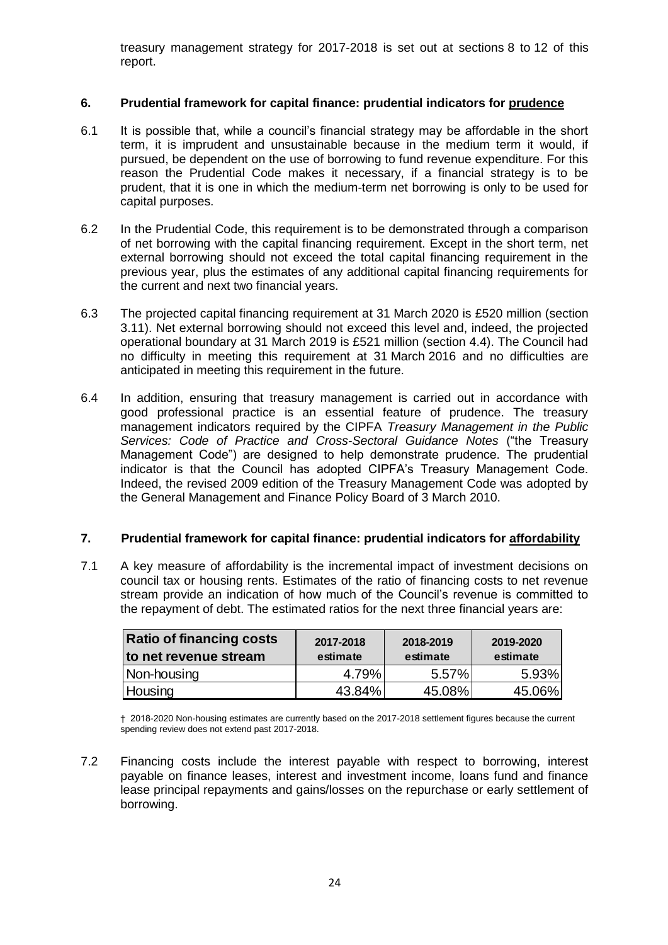treasury management strategy for 2017-2018 is set out at sections 8 to 12 of this report.

## **6. Prudential framework for capital finance: prudential indicators for prudence**

- 6.1 It is possible that, while a council's financial strategy may be affordable in the short term, it is imprudent and unsustainable because in the medium term it would, if pursued, be dependent on the use of borrowing to fund revenue expenditure. For this reason the Prudential Code makes it necessary, if a financial strategy is to be prudent, that it is one in which the medium-term net borrowing is only to be used for capital purposes.
- 6.2 In the Prudential Code, this requirement is to be demonstrated through a comparison of net borrowing with the capital financing requirement. Except in the short term, net external borrowing should not exceed the total capital financing requirement in the previous year, plus the estimates of any additional capital financing requirements for the current and next two financial years.
- 6.3 The projected capital financing requirement at 31 March 2020 is £520 million (section 3.11). Net external borrowing should not exceed this level and, indeed, the projected operational boundary at 31 March 2019 is £521 million (section 4.4). The Council had no difficulty in meeting this requirement at 31 March 2016 and no difficulties are anticipated in meeting this requirement in the future.
- 6.4 In addition, ensuring that treasury management is carried out in accordance with good professional practice is an essential feature of prudence. The treasury management indicators required by the CIPFA *Treasury Management in the Public Services: Code of Practice and Cross-Sectoral Guidance Notes* ("the Treasury Management Code") are designed to help demonstrate prudence. The prudential indicator is that the Council has adopted CIPFA's Treasury Management Code. Indeed, the revised 2009 edition of the Treasury Management Code was adopted by the General Management and Finance Policy Board of 3 March 2010.

### **7. Prudential framework for capital finance: prudential indicators for affordability**

7.1 A key measure of affordability is the incremental impact of investment decisions on council tax or housing rents. Estimates of the ratio of financing costs to net revenue stream provide an indication of how much of the Council's revenue is committed to the repayment of debt. The estimated ratios for the next three financial years are:

| <b>Ratio of financing costs</b><br>to net revenue stream | 2017-2018<br>estimate |        | 2019-2020<br>estimate |  |
|----------------------------------------------------------|-----------------------|--------|-----------------------|--|
| Non-housing                                              | 4.79%                 | 5.57%  | 5.93%                 |  |
| Housing                                                  | 43.84%                | 45.08% | 45.06%                |  |

† 2018-2020 Non-housing estimates are currently based on the 2017-2018 settlement figures because the current spending review does not extend past 2017-2018.

7.2 Financing costs include the interest payable with respect to borrowing, interest payable on finance leases, interest and investment income, loans fund and finance lease principal repayments and gains/losses on the repurchase or early settlement of borrowing.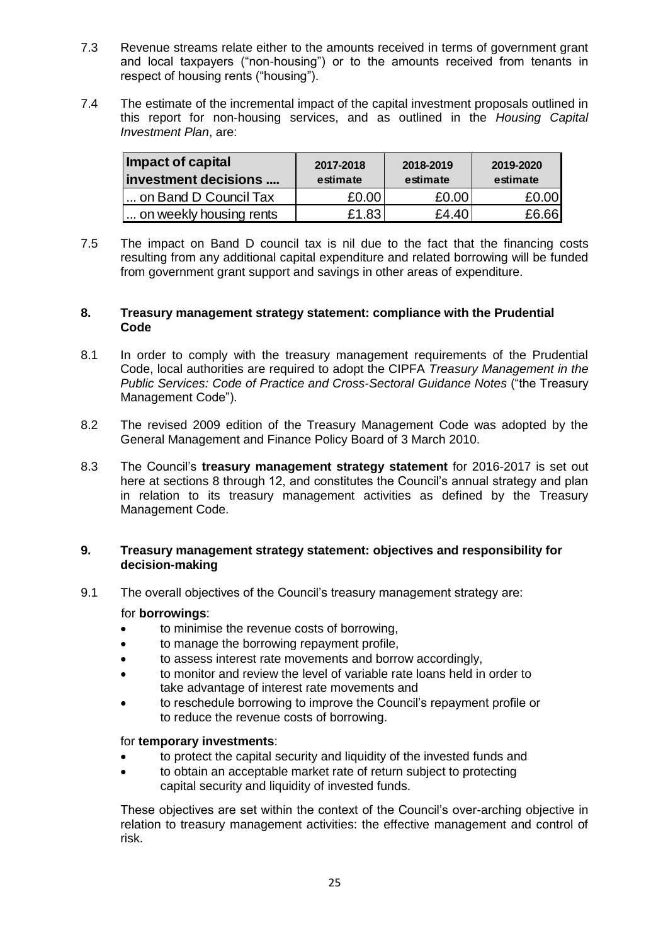- 7.3 Revenue streams relate either to the amounts received in terms of government grant and local taxpayers ("non-housing") or to the amounts received from tenants in respect of housing rents ("housing").
- 7.4 The estimate of the incremental impact of the capital investment proposals outlined in this report for non-housing services, and as outlined in the *Housing Capital Investment Plan*, are:

| Impact of capital<br>investment decisions | 2017-2018<br>estimate | 2018-2019<br>estimate | 2019-2020<br>estimate |  |
|-------------------------------------------|-----------------------|-----------------------|-----------------------|--|
| on Band D Council Tax                     | £0.00                 | £0.00                 | £0.00                 |  |
| on weekly housing rents                   | £1.83                 | £4.40                 | £6.66                 |  |

7.5 The impact on Band D council tax is nil due to the fact that the financing costs resulting from any additional capital expenditure and related borrowing will be funded from government grant support and savings in other areas of expenditure.

#### **8. Treasury management strategy statement: compliance with the Prudential Code**

- 8.1 In order to comply with the treasury management requirements of the Prudential Code, local authorities are required to adopt the CIPFA *Treasury Management in the Public Services: Code of Practice and Cross-Sectoral Guidance Notes* ("the Treasury Management Code").
- 8.2 The revised 2009 edition of the Treasury Management Code was adopted by the General Management and Finance Policy Board of 3 March 2010.
- 8.3 The Council's **treasury management strategy statement** for 2016-2017 is set out here at sections 8 through 12, and constitutes the Council's annual strategy and plan in relation to its treasury management activities as defined by the Treasury Management Code.

#### **9. Treasury management strategy statement: objectives and responsibility for decision-making**

9.1 The overall objectives of the Council's treasury management strategy are:

### for **borrowings**:

- to minimise the revenue costs of borrowing,
- to manage the borrowing repayment profile,
- to assess interest rate movements and borrow accordingly,
- to monitor and review the level of variable rate loans held in order to take advantage of interest rate movements and
- to reschedule borrowing to improve the Council's repayment profile or to reduce the revenue costs of borrowing.

# for **temporary investments**:

- to protect the capital security and liquidity of the invested funds and
- to obtain an acceptable market rate of return subject to protecting capital security and liquidity of invested funds.

These objectives are set within the context of the Council's over-arching objective in relation to treasury management activities: the effective management and control of risk.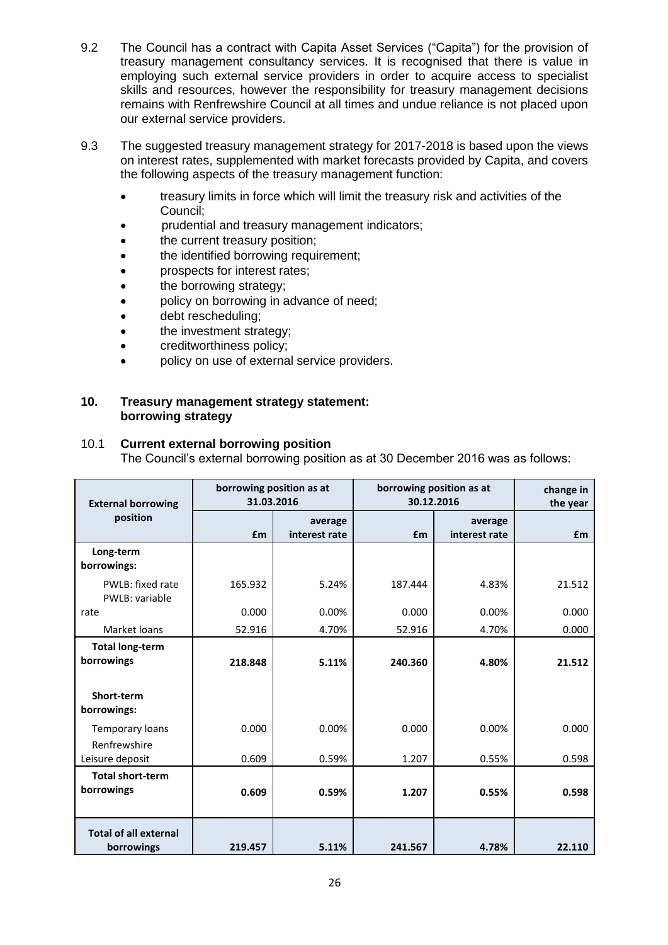- 9.2 The Council has a contract with Capita Asset Services ("Capita") for the provision of treasury management consultancy services. It is recognised that there is value in employing such external service providers in order to acquire access to specialist skills and resources, however the responsibility for treasury management decisions remains with Renfrewshire Council at all times and undue reliance is not placed upon our external service providers.
- 9.3 The suggested treasury management strategy for 2017-2018 is based upon the views on interest rates, supplemented with market forecasts provided by Capita, and covers the following aspects of the treasury management function:
	- treasury limits in force which will limit the treasury risk and activities of the Council;
	- prudential and treasury management indicators;
	- the current treasury position;
	- the identified borrowing requirement;
	- prospects for interest rates;
	- the borrowing strategy;
	- policy on borrowing in advance of need;
	- debt rescheduling;
	- the investment strategy;
	- creditworthiness policy;
	- policy on use of external service providers.

#### **10. Treasury management strategy statement: borrowing strategy**

### 10.1 **Current external borrowing position**

The Council's external borrowing position as at 30 December 2016 was as follows:

| <b>External borrowing</b>                  | 31.03.2016 | borrowing position as at | borrowing position as at<br>30.12.2016 |                          | change in<br>the year |
|--------------------------------------------|------------|--------------------------|----------------------------------------|--------------------------|-----------------------|
| position                                   | £m         | average<br>interest rate | £m                                     | average<br>interest rate | <b>f</b> m            |
| Long-term<br>borrowings:                   |            |                          |                                        |                          |                       |
| PWLB: fixed rate<br>PWLB: variable         | 165.932    | 5.24%                    | 187.444                                | 4.83%                    | 21.512                |
| rate                                       | 0.000      | 0.00%                    | 0.000                                  | 0.00%                    | 0.000                 |
| Market loans                               | 52.916     | 4.70%                    | 52.916                                 | 4.70%                    | 0.000                 |
| <b>Total long-term</b><br>borrowings       | 218.848    | 5.11%                    | 240.360                                | 4.80%                    | 21.512                |
| Short-term<br>borrowings:                  |            |                          |                                        |                          |                       |
| Temporary loans<br>Renfrewshire            | 0.000      | 0.00%                    | 0.000                                  | 0.00%                    | 0.000                 |
| Leisure deposit                            | 0.609      | 0.59%                    | 1.207                                  | 0.55%                    | 0.598                 |
| <b>Total short-term</b><br>borrowings      | 0.609      | 0.59%                    | 1.207                                  | 0.55%                    | 0.598                 |
| <b>Total of all external</b><br>borrowings | 219.457    | 5.11%                    | 241.567                                | 4.78%                    | 22.110                |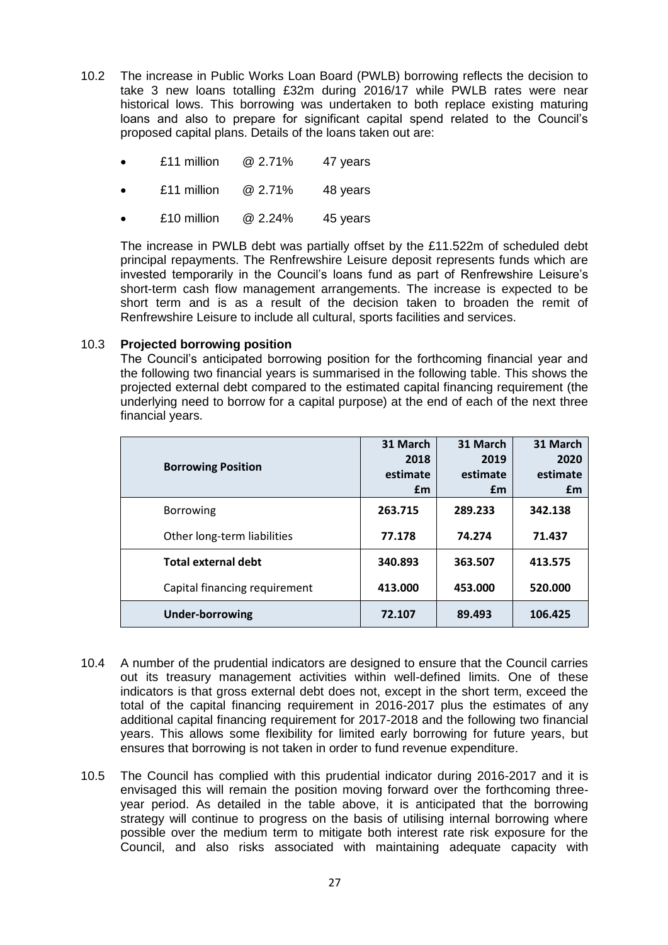- 10.2 The increase in Public Works Loan Board (PWLB) borrowing reflects the decision to take 3 new loans totalling £32m during 2016/17 while PWLB rates were near historical lows. This borrowing was undertaken to both replace existing maturing loans and also to prepare for significant capital spend related to the Council's proposed capital plans. Details of the loans taken out are:
	- £11 million @ 2.71% 47 years
	- £11 million @ 2.71% 48 years
	- £10 million @ 2.24% 45 years

The increase in PWLB debt was partially offset by the £11.522m of scheduled debt principal repayments. The Renfrewshire Leisure deposit represents funds which are invested temporarily in the Council's loans fund as part of Renfrewshire Leisure's short-term cash flow management arrangements. The increase is expected to be short term and is as a result of the decision taken to broaden the remit of Renfrewshire Leisure to include all cultural, sports facilities and services.

#### 10.3 **Projected borrowing position**

The Council's anticipated borrowing position for the forthcoming financial year and the following two financial years is summarised in the following table. This shows the projected external debt compared to the estimated capital financing requirement (the underlying need to borrow for a capital purpose) at the end of each of the next three financial years.

| <b>Borrowing Position</b>     | 31 March<br>2018<br>estimate<br>£m | 31 March<br>2019<br>estimate<br>£m | 31 March<br>2020<br>estimate<br>£m |
|-------------------------------|------------------------------------|------------------------------------|------------------------------------|
| <b>Borrowing</b>              | 263.715                            | 289.233                            | 342.138                            |
| Other long-term liabilities   | 77.178                             | 74.274                             | 71.437                             |
| <b>Total external debt</b>    | 340.893                            | 363.507                            | 413.575                            |
| Capital financing requirement | 413.000                            | 453.000                            | 520.000                            |
| <b>Under-borrowing</b>        | 72.107                             | 89.493                             | 106.425                            |

- 10.4 A number of the prudential indicators are designed to ensure that the Council carries out its treasury management activities within well-defined limits. One of these indicators is that gross external debt does not, except in the short term, exceed the total of the capital financing requirement in 2016-2017 plus the estimates of any additional capital financing requirement for 2017-2018 and the following two financial years. This allows some flexibility for limited early borrowing for future years, but ensures that borrowing is not taken in order to fund revenue expenditure.
- 10.5 The Council has complied with this prudential indicator during 2016-2017 and it is envisaged this will remain the position moving forward over the forthcoming threeyear period. As detailed in the table above, it is anticipated that the borrowing strategy will continue to progress on the basis of utilising internal borrowing where possible over the medium term to mitigate both interest rate risk exposure for the Council, and also risks associated with maintaining adequate capacity with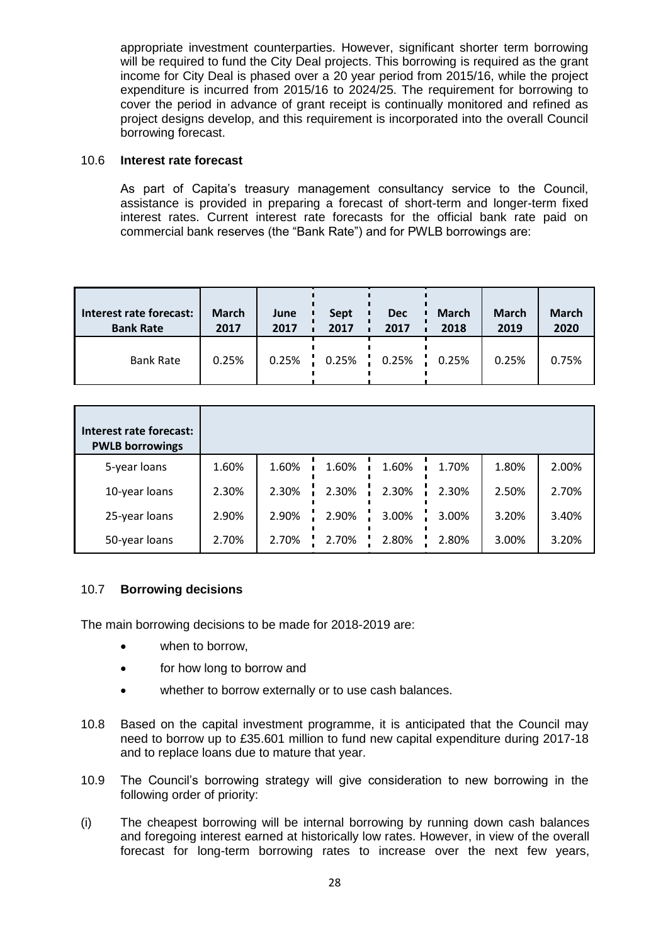appropriate investment counterparties. However, significant shorter term borrowing will be required to fund the City Deal projects. This borrowing is required as the grant income for City Deal is phased over a 20 year period from 2015/16, while the project expenditure is incurred from 2015/16 to 2024/25. The requirement for borrowing to cover the period in advance of grant receipt is continually monitored and refined as project designs develop, and this requirement is incorporated into the overall Council borrowing forecast.

#### 10.6 **Interest rate forecast**

As part of Capita's treasury management consultancy service to the Council, assistance is provided in preparing a forecast of short-term and longer-term fixed interest rates. Current interest rate forecasts for the official bank rate paid on commercial bank reserves (the "Bank Rate") and for PWLB borrowings are:

| Interest rate forecast: | <b>March</b> | June  | Sept | <b>Dec</b>            | <b>March</b> | <b>March</b> | <b>March</b> |
|-------------------------|--------------|-------|------|-----------------------|--------------|--------------|--------------|
| <b>Bank Rate</b>        | 2017         | 2017  | 2017 | 2017                  | 2018         | 2019         | 2020         |
| <b>Bank Rate</b>        | 0.25%        | 0.25% |      | $0.25\%$ 0.25%  0.25% |              | 0.25%        | 0.75%        |

| Interest rate forecast:<br><b>PWLB borrowings</b> |       |       |       |       |       |       |       |
|---------------------------------------------------|-------|-------|-------|-------|-------|-------|-------|
| 5-year loans                                      | 1.60% | 1.60% | 1.60% | 1.60% | 1.70% | 1.80% | 2.00% |
| 10-year loans                                     | 2.30% | 2.30% | 2.30% | 2.30% | 2.30% | 2.50% | 2.70% |
| 25-year loans                                     | 2.90% | 2.90% | 2.90% | 3.00% | 3.00% | 3.20% | 3.40% |
| 50-year loans                                     | 2.70% | 2.70% | 2.70% | 2.80% | 2.80% | 3.00% | 3.20% |

### 10.7 **Borrowing decisions**

The main borrowing decisions to be made for 2018-2019 are:

- when to borrow,
- for how long to borrow and
- whether to borrow externally or to use cash balances.
- 10.8 Based on the capital investment programme, it is anticipated that the Council may need to borrow up to £35.601 million to fund new capital expenditure during 2017-18 and to replace loans due to mature that year.
- 10.9 The Council's borrowing strategy will give consideration to new borrowing in the following order of priority:
- (i) The cheapest borrowing will be internal borrowing by running down cash balances and foregoing interest earned at historically low rates. However, in view of the overall forecast for long-term borrowing rates to increase over the next few years,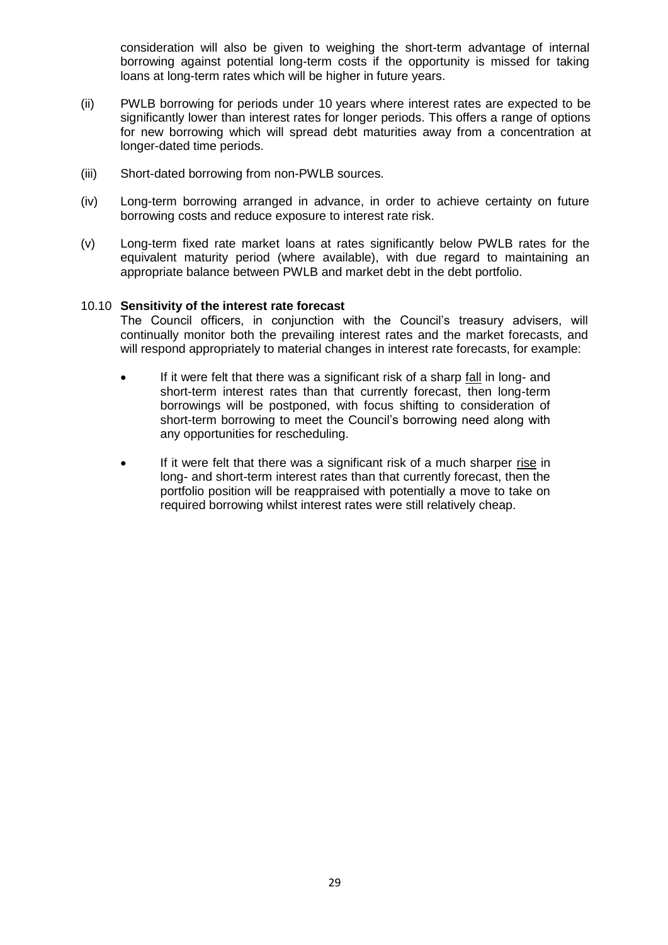consideration will also be given to weighing the short-term advantage of internal borrowing against potential long-term costs if the opportunity is missed for taking loans at long-term rates which will be higher in future years.

- (ii) PWLB borrowing for periods under 10 years where interest rates are expected to be significantly lower than interest rates for longer periods. This offers a range of options for new borrowing which will spread debt maturities away from a concentration at longer-dated time periods.
- (iii) Short-dated borrowing from non-PWLB sources.
- (iv) Long-term borrowing arranged in advance, in order to achieve certainty on future borrowing costs and reduce exposure to interest rate risk.
- (v) Long-term fixed rate market loans at rates significantly below PWLB rates for the equivalent maturity period (where available), with due regard to maintaining an appropriate balance between PWLB and market debt in the debt portfolio.

#### 10.10 **Sensitivity of the interest rate forecast**

The Council officers, in conjunction with the Council's treasury advisers, will continually monitor both the prevailing interest rates and the market forecasts, and will respond appropriately to material changes in interest rate forecasts, for example:

- If it were felt that there was a significant risk of a sharp fall in long- and short-term interest rates than that currently forecast, then long-term borrowings will be postponed, with focus shifting to consideration of short-term borrowing to meet the Council's borrowing need along with any opportunities for rescheduling.
- If it were felt that there was a significant risk of a much sharper rise in long- and short-term interest rates than that currently forecast, then the portfolio position will be reappraised with potentially a move to take on required borrowing whilst interest rates were still relatively cheap.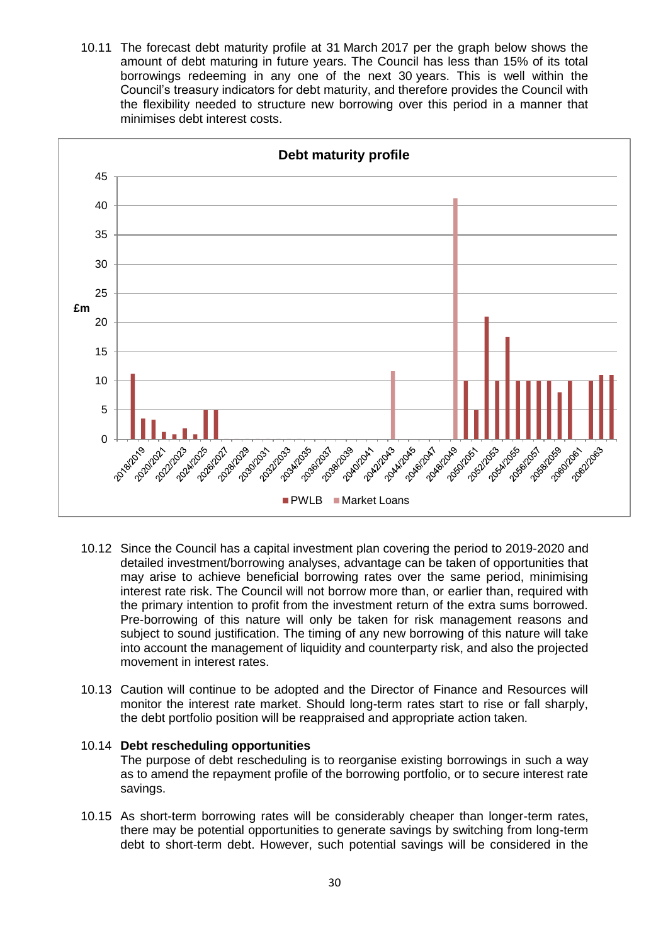10.11 The forecast debt maturity profile at 31 March 2017 per the graph below shows the amount of debt maturing in future years. The Council has less than 15% of its total borrowings redeeming in any one of the next 30 years. This is well within the Council's treasury indicators for debt maturity, and therefore provides the Council with the flexibility needed to structure new borrowing over this period in a manner that minimises debt interest costs.



- 10.12 Since the Council has a capital investment plan covering the period to 2019-2020 and detailed investment/borrowing analyses, advantage can be taken of opportunities that may arise to achieve beneficial borrowing rates over the same period, minimising interest rate risk. The Council will not borrow more than, or earlier than, required with the primary intention to profit from the investment return of the extra sums borrowed. Pre-borrowing of this nature will only be taken for risk management reasons and subject to sound justification. The timing of any new borrowing of this nature will take into account the management of liquidity and counterparty risk, and also the projected movement in interest rates.
- 10.13 Caution will continue to be adopted and the Director of Finance and Resources will monitor the interest rate market. Should long-term rates start to rise or fall sharply, the debt portfolio position will be reappraised and appropriate action taken.

#### 10.14 **Debt rescheduling opportunities** The purpose of debt rescheduling is to reorganise existing borrowings in such a way as to amend the repayment profile of the borrowing portfolio, or to secure interest rate savings.

10.15 As short-term borrowing rates will be considerably cheaper than longer-term rates, there may be potential opportunities to generate savings by switching from long-term debt to short-term debt. However, such potential savings will be considered in the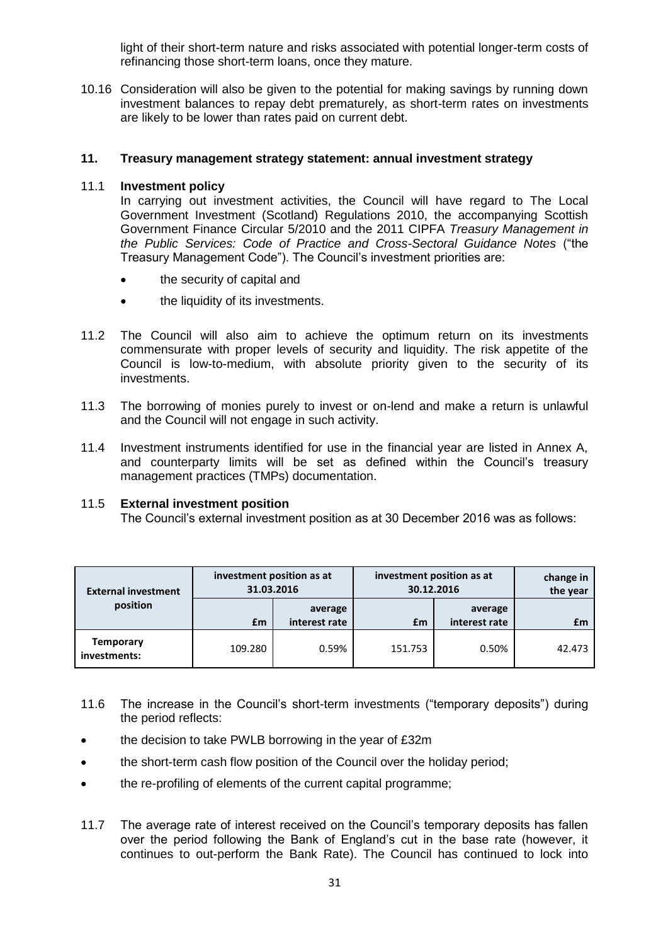light of their short-term nature and risks associated with potential longer-term costs of refinancing those short-term loans, once they mature.

10.16 Consideration will also be given to the potential for making savings by running down investment balances to repay debt prematurely, as short-term rates on investments are likely to be lower than rates paid on current debt.

#### **11. Treasury management strategy statement: annual investment strategy**

#### 11.1 **Investment policy**

In carrying out investment activities, the Council will have regard to The Local Government Investment (Scotland) Regulations 2010, the accompanying Scottish Government Finance Circular 5/2010 and the 2011 CIPFA *Treasury Management in the Public Services: Code of Practice and Cross-Sectoral Guidance Notes* ("the Treasury Management Code"). The Council's investment priorities are:

- the security of capital and
- the liquidity of its investments.
- 11.2 The Council will also aim to achieve the optimum return on its investments commensurate with proper levels of security and liquidity. The risk appetite of the Council is low-to-medium, with absolute priority given to the security of its investments.
- 11.3 The borrowing of monies purely to invest or on-lend and make a return is unlawful and the Council will not engage in such activity.
- 11.4 Investment instruments identified for use in the financial year are listed in Annex A, and counterparty limits will be set as defined within the Council's treasury management practices (TMPs) documentation.

#### 11.5 **External investment position**

The Council's external investment position as at 30 December 2016 was as follows:

| <b>External investment</b>       | investment position as at<br>31.03.2016 |                          | investment position as at<br>30.12.2016 | change in<br>the year    |        |
|----------------------------------|-----------------------------------------|--------------------------|-----------------------------------------|--------------------------|--------|
| position                         | £m                                      | average<br>interest rate | £m                                      | average<br>interest rate | £m     |
| <b>Temporary</b><br>investments: | 109.280                                 | 0.59%                    | 151.753                                 | 0.50%                    | 42.473 |

- 11.6 The increase in the Council's short-term investments ("temporary deposits") during the period reflects:
- the decision to take PWLB borrowing in the year of £32m
- the short-term cash flow position of the Council over the holiday period:
- the re-profiling of elements of the current capital programme;
- 11.7 The average rate of interest received on the Council's temporary deposits has fallen over the period following the Bank of England's cut in the base rate (however, it continues to out-perform the Bank Rate). The Council has continued to lock into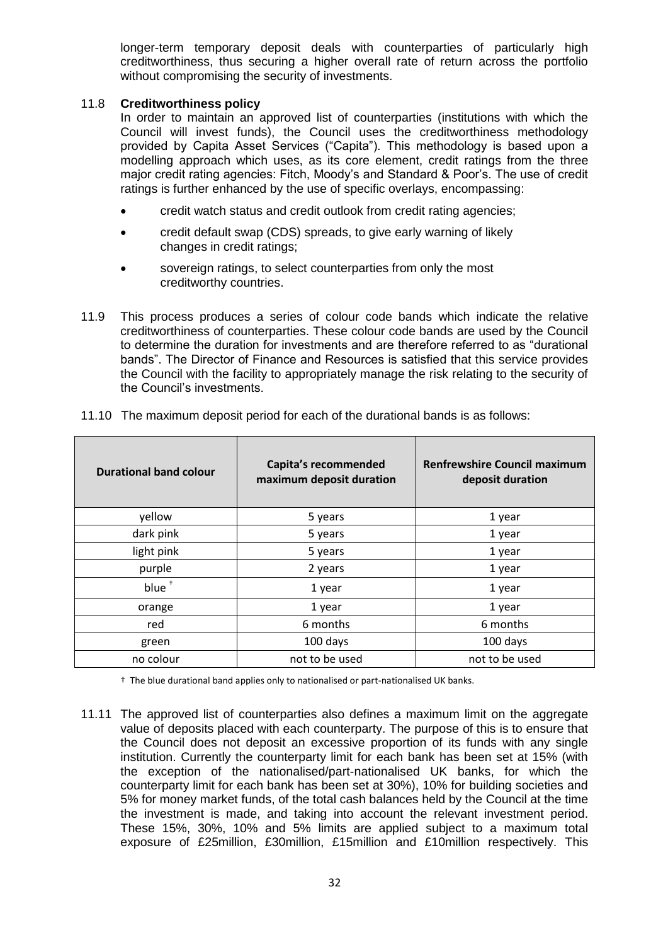longer-term temporary deposit deals with counterparties of particularly high creditworthiness, thus securing a higher overall rate of return across the portfolio without compromising the security of investments.

#### 11.8 **Creditworthiness policy**

In order to maintain an approved list of counterparties (institutions with which the Council will invest funds), the Council uses the creditworthiness methodology provided by Capita Asset Services ("Capita"). This methodology is based upon a modelling approach which uses, as its core element, credit ratings from the three major credit rating agencies: Fitch, Moody's and Standard & Poor's. The use of credit ratings is further enhanced by the use of specific overlays, encompassing:

- credit watch status and credit outlook from credit rating agencies;
- credit default swap (CDS) spreads, to give early warning of likely changes in credit ratings;
- sovereign ratings, to select counterparties from only the most creditworthy countries.
- 11.9 This process produces a series of colour code bands which indicate the relative creditworthiness of counterparties. These colour code bands are used by the Council to determine the duration for investments and are therefore referred to as "durational bands". The Director of Finance and Resources is satisfied that this service provides the Council with the facility to appropriately manage the risk relating to the security of the Council's investments.

| <b>Durational band colour</b> | Capita's recommended<br>maximum deposit duration | <b>Renfrewshire Council maximum</b><br>deposit duration |  |
|-------------------------------|--------------------------------------------------|---------------------------------------------------------|--|
| yellow                        | 5 years                                          | 1 year                                                  |  |
| dark pink                     | 5 years                                          | 1 year                                                  |  |
| light pink                    | 5 years                                          | 1 year                                                  |  |
| purple                        | 2 years                                          | 1 year                                                  |  |
| blue <sup>+</sup>             | 1 year                                           | 1 year                                                  |  |
| orange                        | 1 year                                           | 1 year                                                  |  |
| red                           | 6 months                                         | 6 months                                                |  |
| green                         | 100 days                                         | 100 days                                                |  |
| no colour                     | not to be used                                   | not to be used                                          |  |

11.10 The maximum deposit period for each of the durational bands is as follows:

† The blue durational band applies only to nationalised or part-nationalised UK banks.

11.11 The approved list of counterparties also defines a maximum limit on the aggregate value of deposits placed with each counterparty. The purpose of this is to ensure that the Council does not deposit an excessive proportion of its funds with any single institution. Currently the counterparty limit for each bank has been set at 15% (with the exception of the nationalised/part-nationalised UK banks, for which the counterparty limit for each bank has been set at 30%), 10% for building societies and 5% for money market funds, of the total cash balances held by the Council at the time the investment is made, and taking into account the relevant investment period. These 15%, 30%, 10% and 5% limits are applied subject to a maximum total exposure of £25million, £30million, £15million and £10million respectively. This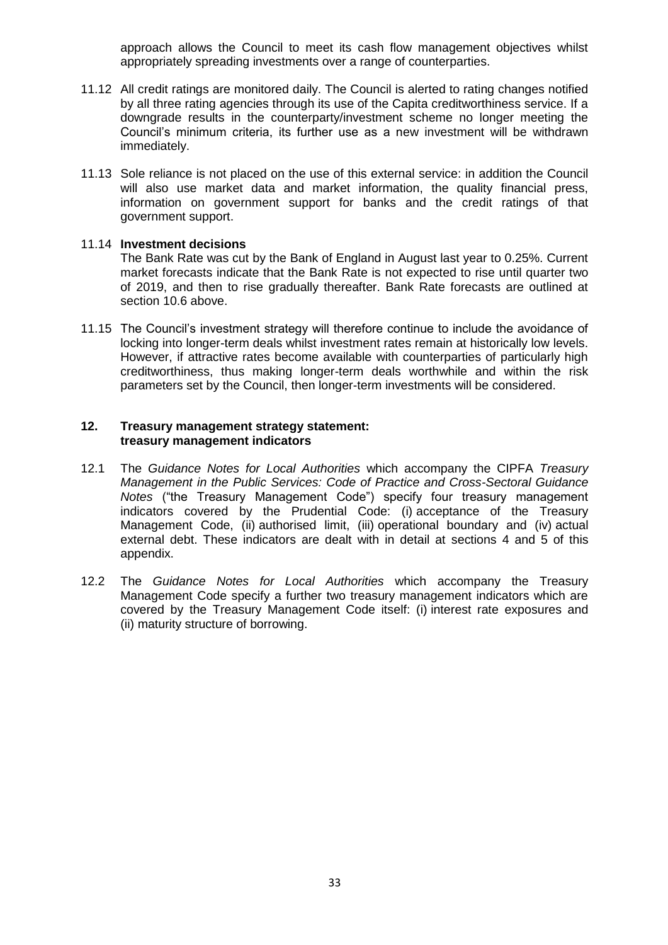approach allows the Council to meet its cash flow management objectives whilst appropriately spreading investments over a range of counterparties.

- 11.12 All credit ratings are monitored daily. The Council is alerted to rating changes notified by all three rating agencies through its use of the Capita creditworthiness service. If a downgrade results in the counterparty/investment scheme no longer meeting the Council's minimum criteria, its further use as a new investment will be withdrawn immediately.
- 11.13 Sole reliance is not placed on the use of this external service: in addition the Council will also use market data and market information, the quality financial press, information on government support for banks and the credit ratings of that government support.

#### 11.14 **Investment decisions**

The Bank Rate was cut by the Bank of England in August last year to 0.25%. Current market forecasts indicate that the Bank Rate is not expected to rise until quarter two of 2019, and then to rise gradually thereafter. Bank Rate forecasts are outlined at section 10.6 above.

11.15 The Council's investment strategy will therefore continue to include the avoidance of locking into longer-term deals whilst investment rates remain at historically low levels. However, if attractive rates become available with counterparties of particularly high creditworthiness, thus making longer-term deals worthwhile and within the risk parameters set by the Council, then longer-term investments will be considered.

#### **12. Treasury management strategy statement: treasury management indicators**

- 12.1 The *Guidance Notes for Local Authorities* which accompany the CIPFA *Treasury Management in the Public Services: Code of Practice and Cross-Sectoral Guidance Notes* ("the Treasury Management Code") specify four treasury management indicators covered by the Prudential Code: (i) acceptance of the Treasury Management Code, (ii) authorised limit, (iii) operational boundary and (iv) actual external debt. These indicators are dealt with in detail at sections 4 and 5 of this appendix.
- 12.2 The *Guidance Notes for Local Authorities* which accompany the Treasury Management Code specify a further two treasury management indicators which are covered by the Treasury Management Code itself: (i) interest rate exposures and (ii) maturity structure of borrowing.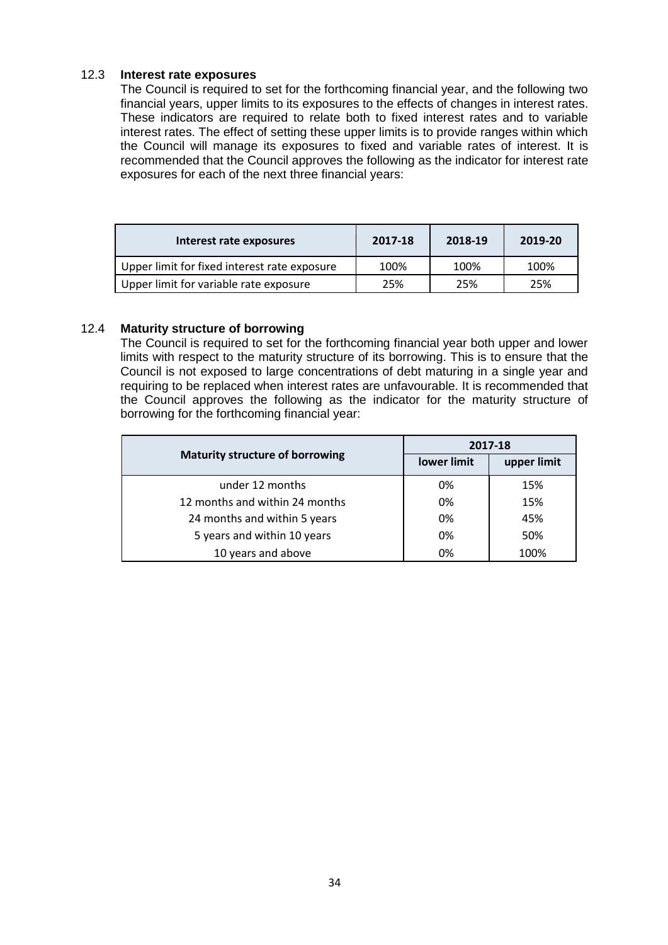## 12.3 **Interest rate exposures**

The Council is required to set for the forthcoming financial year, and the following two financial years, upper limits to its exposures to the effects of changes in interest rates. These indicators are required to relate both to fixed interest rates and to variable interest rates. The effect of setting these upper limits is to provide ranges within which the Council will manage its exposures to fixed and variable rates of interest. It is recommended that the Council approves the following as the indicator for interest rate exposures for each of the next three financial years:

| Interest rate exposures                      | 2017-18 | 2018-19 | 2019-20 |
|----------------------------------------------|---------|---------|---------|
| Upper limit for fixed interest rate exposure | 100%    | 100%    | 100%    |
| Upper limit for variable rate exposure       | 25%     | 25%     | 25%     |

# 12.4 **Maturity structure of borrowing**

The Council is required to set for the forthcoming financial year both upper and lower limits with respect to the maturity structure of its borrowing. This is to ensure that the Council is not exposed to large concentrations of debt maturing in a single year and requiring to be replaced when interest rates are unfavourable. It is recommended that the Council approves the following as the indicator for the maturity structure of borrowing for the forthcoming financial year:

|                                        | 2017-18     |             |  |
|----------------------------------------|-------------|-------------|--|
| <b>Maturity structure of borrowing</b> | lower limit | upper limit |  |
| under 12 months                        | 0%          | 15%         |  |
| 12 months and within 24 months         | 0%          | 15%         |  |
| 24 months and within 5 years           | 0%          | 45%         |  |
| 5 years and within 10 years            | 0%          | 50%         |  |
| 10 years and above                     | 0%          | 100%        |  |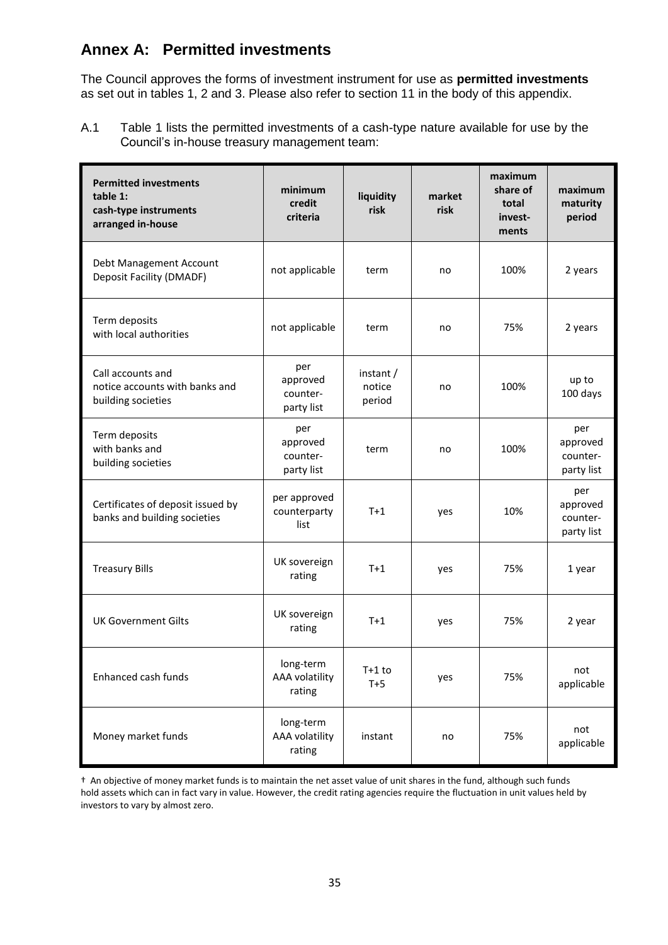# **Annex A: Permitted investments**

The Council approves the forms of investment instrument for use as **permitted investments** as set out in tables 1, 2 and 3. Please also refer to section 11 in the body of this appendix.

A.1 Table 1 lists the permitted investments of a cash-type nature available for use by the Council's in-house treasury management team:

| <b>Permitted investments</b><br>table 1:<br>cash-type instruments<br>arranged in-house | minimum<br>credit<br>criteria             | liquidity<br>risk             | market<br>risk | maximum<br>share of<br>total<br>invest-<br>ments | maximum<br>maturity<br>period             |
|----------------------------------------------------------------------------------------|-------------------------------------------|-------------------------------|----------------|--------------------------------------------------|-------------------------------------------|
| Debt Management Account<br>Deposit Facility (DMADF)                                    | not applicable                            | term                          | no             | 100%                                             | 2 years                                   |
| Term deposits<br>with local authorities                                                | not applicable                            | term                          | no             | 75%                                              | 2 years                                   |
| Call accounts and<br>notice accounts with banks and<br>building societies              | per<br>approved<br>counter-<br>party list | instant /<br>notice<br>period | no             | 100%                                             | up to<br>100 days                         |
| Term deposits<br>with banks and<br>building societies                                  | per<br>approved<br>counter-<br>party list | term                          | no             | 100%                                             | per<br>approved<br>counter-<br>party list |
| Certificates of deposit issued by<br>banks and building societies                      | per approved<br>counterparty<br>list      | $T+1$                         | yes            | 10%                                              | per<br>approved<br>counter-<br>party list |
| <b>Treasury Bills</b>                                                                  | UK sovereign<br>rating                    | $T+1$                         | yes            | 75%                                              | 1 year                                    |
| <b>UK Government Gilts</b>                                                             | UK sovereign<br>rating                    | $T+1$                         | yes            | 75%                                              | 2 year                                    |
| Enhanced cash funds                                                                    | long-term<br>AAA volatility<br>rating     | $T+1$ to<br>$T+5$             | yes            | 75%                                              | not<br>applicable                         |
| Money market funds                                                                     | long-term<br>AAA volatility<br>rating     | instant                       | no             | 75%                                              | not<br>applicable                         |

† An objective of money market funds is to maintain the net asset value of unit shares in the fund, although such funds hold assets which can in fact vary in value. However, the credit rating agencies require the fluctuation in unit values held by investors to vary by almost zero.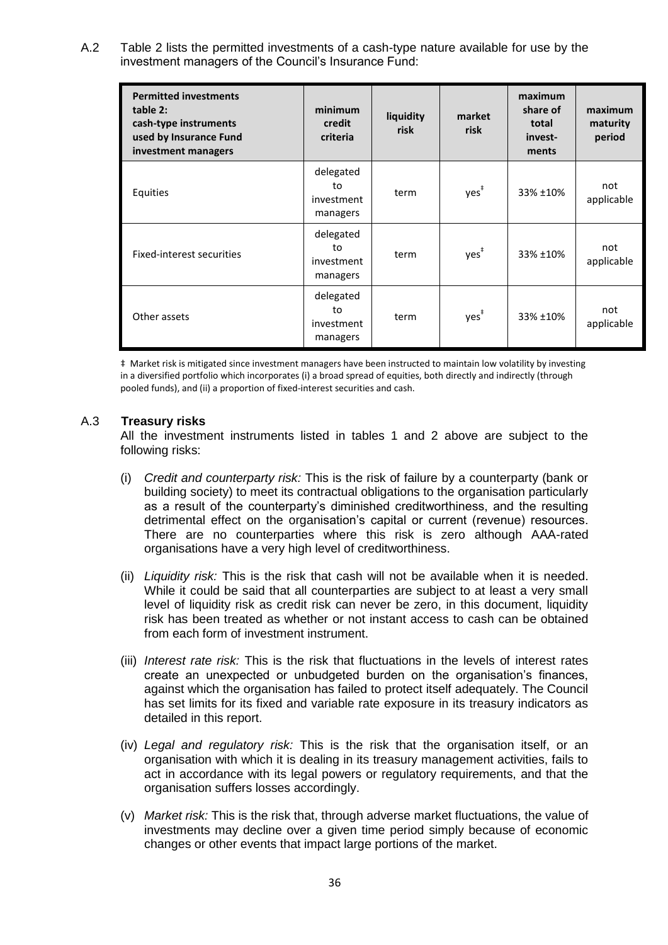A.2 Table 2 lists the permitted investments of a cash-type nature available for use by the investment managers of the Council's Insurance Fund:

| <b>Permitted investments</b><br>table 2:<br>cash-type instruments<br>used by Insurance Fund<br>investment managers | minimum<br>credit<br>criteria             | liquidity<br>risk | market<br>risk   | maximum<br>share of<br>total<br>invest-<br>ments | maximum<br>maturity<br>period |
|--------------------------------------------------------------------------------------------------------------------|-------------------------------------------|-------------------|------------------|--------------------------------------------------|-------------------------------|
| Equities                                                                                                           | delegated<br>to<br>investment<br>managers | term              | $yes^*$          | 33% ±10%                                         | not<br>applicable             |
| Fixed-interest securities                                                                                          | delegated<br>to<br>investment<br>managers | term              | $yes^{\ddagger}$ | 33% ±10%                                         | not<br>applicable             |
| Other assets                                                                                                       | delegated<br>to<br>investment<br>managers | term              | $yes^{\ddagger}$ | 33% ±10%                                         | not<br>applicable             |

‡ Market risk is mitigated since investment managers have been instructed to maintain low volatility by investing in a diversified portfolio which incorporates (i) a broad spread of equities, both directly and indirectly (through pooled funds), and (ii) a proportion of fixed-interest securities and cash.

#### A.3 **Treasury risks**

All the investment instruments listed in tables 1 and 2 above are subject to the following risks:

- (i) *Credit and counterparty risk:* This is the risk of failure by a counterparty (bank or building society) to meet its contractual obligations to the organisation particularly as a result of the counterparty's diminished creditworthiness, and the resulting detrimental effect on the organisation's capital or current (revenue) resources. There are no counterparties where this risk is zero although AAA-rated organisations have a very high level of creditworthiness.
- (ii) *Liquidity risk:* This is the risk that cash will not be available when it is needed. While it could be said that all counterparties are subject to at least a very small level of liquidity risk as credit risk can never be zero, in this document, liquidity risk has been treated as whether or not instant access to cash can be obtained from each form of investment instrument.
- (iii) *Interest rate risk:* This is the risk that fluctuations in the levels of interest rates create an unexpected or unbudgeted burden on the organisation's finances, against which the organisation has failed to protect itself adequately. The Council has set limits for its fixed and variable rate exposure in its treasury indicators as detailed in this report.
- (iv) *Legal and regulatory risk:* This is the risk that the organisation itself, or an organisation with which it is dealing in its treasury management activities, fails to act in accordance with its legal powers or regulatory requirements, and that the organisation suffers losses accordingly.
- (v) *Market risk:* This is the risk that, through adverse market fluctuations, the value of investments may decline over a given time period simply because of economic changes or other events that impact large portions of the market.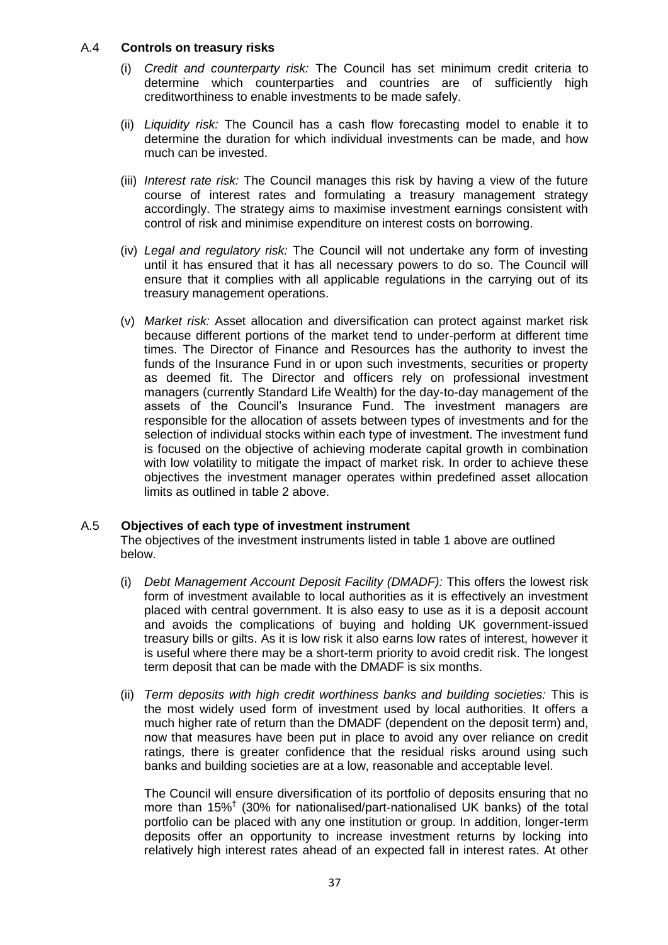## A.4 **Controls on treasury risks**

- (i) *Credit and counterparty risk:* The Council has set minimum credit criteria to determine which counterparties and countries are of sufficiently high creditworthiness to enable investments to be made safely.
- (ii) *Liquidity risk:* The Council has a cash flow forecasting model to enable it to determine the duration for which individual investments can be made, and how much can be invested.
- (iii) *Interest rate risk:* The Council manages this risk by having a view of the future course of interest rates and formulating a treasury management strategy accordingly. The strategy aims to maximise investment earnings consistent with control of risk and minimise expenditure on interest costs on borrowing.
- (iv) *Legal and regulatory risk:* The Council will not undertake any form of investing until it has ensured that it has all necessary powers to do so. The Council will ensure that it complies with all applicable regulations in the carrying out of its treasury management operations.
- (v) *Market risk:* Asset allocation and diversification can protect against market risk because different portions of the market tend to under-perform at different time times. The Director of Finance and Resources has the authority to invest the funds of the Insurance Fund in or upon such investments, securities or property as deemed fit. The Director and officers rely on professional investment managers (currently Standard Life Wealth) for the day-to-day management of the assets of the Council's Insurance Fund. The investment managers are responsible for the allocation of assets between types of investments and for the selection of individual stocks within each type of investment. The investment fund is focused on the objective of achieving moderate capital growth in combination with low volatility to mitigate the impact of market risk. In order to achieve these objectives the investment manager operates within predefined asset allocation limits as outlined in table 2 above.

### A.5 **Objectives of each type of investment instrument**

The objectives of the investment instruments listed in table 1 above are outlined below.

- (i) *Debt Management Account Deposit Facility (DMADF):* This offers the lowest risk form of investment available to local authorities as it is effectively an investment placed with central government. It is also easy to use as it is a deposit account and avoids the complications of buying and holding UK government-issued treasury bills or gilts. As it is low risk it also earns low rates of interest, however it is useful where there may be a short-term priority to avoid credit risk. The longest term deposit that can be made with the DMADF is six months.
- (ii) *Term deposits with high credit worthiness banks and building societies:* This is the most widely used form of investment used by local authorities. It offers a much higher rate of return than the DMADF (dependent on the deposit term) and, now that measures have been put in place to avoid any over reliance on credit ratings, there is greater confidence that the residual risks around using such banks and building societies are at a low, reasonable and acceptable level.

The Council will ensure diversification of its portfolio of deposits ensuring that no more than 15%† (30% for nationalised/part-nationalised UK banks) of the total portfolio can be placed with any one institution or group. In addition, longer-term deposits offer an opportunity to increase investment returns by locking into relatively high interest rates ahead of an expected fall in interest rates. At other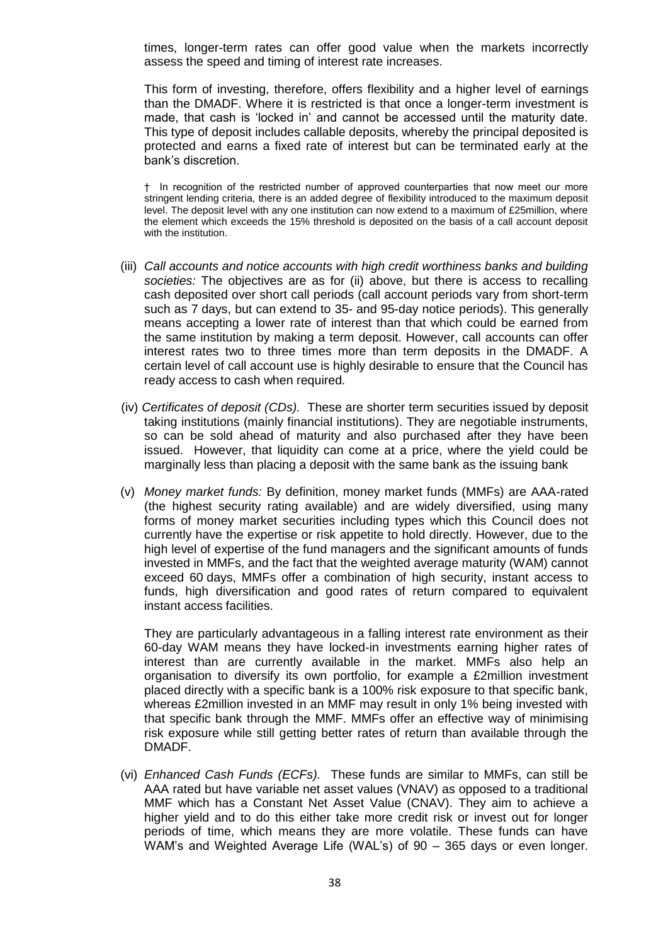times, longer-term rates can offer good value when the markets incorrectly assess the speed and timing of interest rate increases.

This form of investing, therefore, offers flexibility and a higher level of earnings than the DMADF. Where it is restricted is that once a longer-term investment is made, that cash is 'locked in' and cannot be accessed until the maturity date. This type of deposit includes callable deposits, whereby the principal deposited is protected and earns a fixed rate of interest but can be terminated early at the bank's discretion.

† In recognition of the restricted number of approved counterparties that now meet our more stringent lending criteria, there is an added degree of flexibility introduced to the maximum deposit level. The deposit level with any one institution can now extend to a maximum of £25million, where the element which exceeds the 15% threshold is deposited on the basis of a call account deposit with the institution.

- (iii) *Call accounts and notice accounts with high credit worthiness banks and building societies:* The objectives are as for (ii) above, but there is access to recalling cash deposited over short call periods (call account periods vary from short-term such as 7 days, but can extend to 35- and 95-day notice periods). This generally means accepting a lower rate of interest than that which could be earned from the same institution by making a term deposit. However, call accounts can offer interest rates two to three times more than term deposits in the DMADF. A certain level of call account use is highly desirable to ensure that the Council has ready access to cash when required.
- (iv) *Certificates of deposit (CDs).*These are shorter term securities issued by deposit taking institutions (mainly financial institutions). They are negotiable instruments, so can be sold ahead of maturity and also purchased after they have been issued. However, that liquidity can come at a price, where the yield could be marginally less than placing a deposit with the same bank as the issuing bank
- (v) *Money market funds:* By definition, money market funds (MMFs) are AAA-rated (the highest security rating available) and are widely diversified, using many forms of money market securities including types which this Council does not currently have the expertise or risk appetite to hold directly. However, due to the high level of expertise of the fund managers and the significant amounts of funds invested in MMFs, and the fact that the weighted average maturity (WAM) cannot exceed 60 days, MMFs offer a combination of high security, instant access to funds, high diversification and good rates of return compared to equivalent instant access facilities.

They are particularly advantageous in a falling interest rate environment as their 60-day WAM means they have locked-in investments earning higher rates of interest than are currently available in the market. MMFs also help an organisation to diversify its own portfolio, for example a £2million investment placed directly with a specific bank is a 100% risk exposure to that specific bank, whereas £2million invested in an MMF may result in only 1% being invested with that specific bank through the MMF. MMFs offer an effective way of minimising risk exposure while still getting better rates of return than available through the DMADF.

(vi) *Enhanced Cash Funds (ECFs).* These funds are similar to MMFs, can still be AAA rated but have variable net asset values (VNAV) as opposed to a traditional MMF which has a Constant Net Asset Value (CNAV). They aim to achieve a higher yield and to do this either take more credit risk or invest out for longer periods of time, which means they are more volatile. These funds can have WAM's and Weighted Average Life (WAL's) of 90 – 365 days or even longer.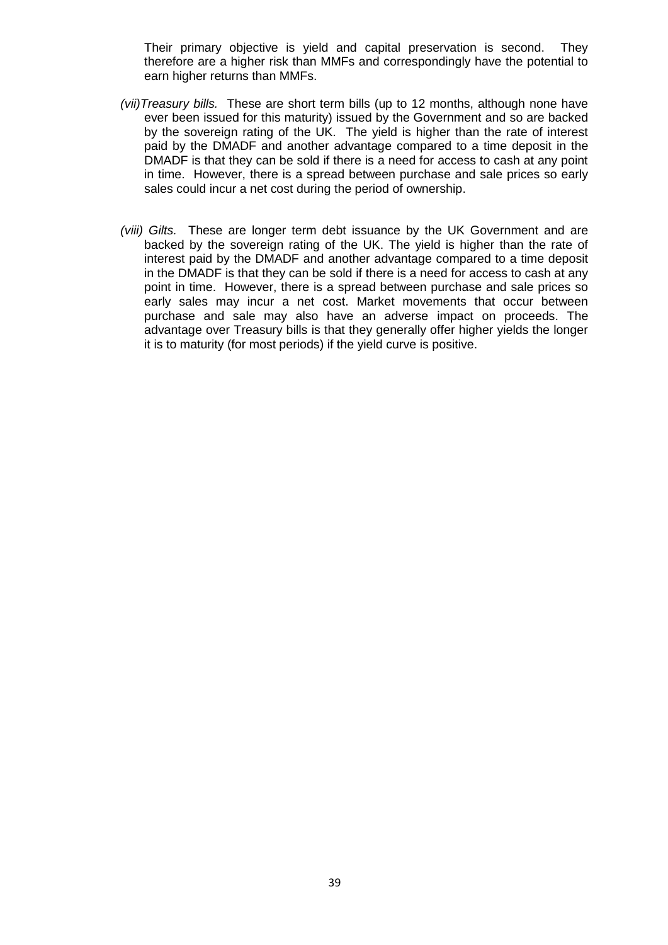Their primary objective is yield and capital preservation is second. They therefore are a higher risk than MMFs and correspondingly have the potential to earn higher returns than MMFs.

- *(vii)Treasury bills.*These are short term bills (up to 12 months, although none have ever been issued for this maturity) issued by the Government and so are backed by the sovereign rating of the UK. The yield is higher than the rate of interest paid by the DMADF and another advantage compared to a time deposit in the DMADF is that they can be sold if there is a need for access to cash at any point in time. However, there is a spread between purchase and sale prices so early sales could incur a net cost during the period of ownership.
- *(viii) Gilts.* These are longer term debt issuance by the UK Government and are backed by the sovereign rating of the UK. The yield is higher than the rate of interest paid by the DMADF and another advantage compared to a time deposit in the DMADF is that they can be sold if there is a need for access to cash at any point in time. However, there is a spread between purchase and sale prices so early sales may incur a net cost. Market movements that occur between purchase and sale may also have an adverse impact on proceeds. The advantage over Treasury bills is that they generally offer higher yields the longer it is to maturity (for most periods) if the yield curve is positive.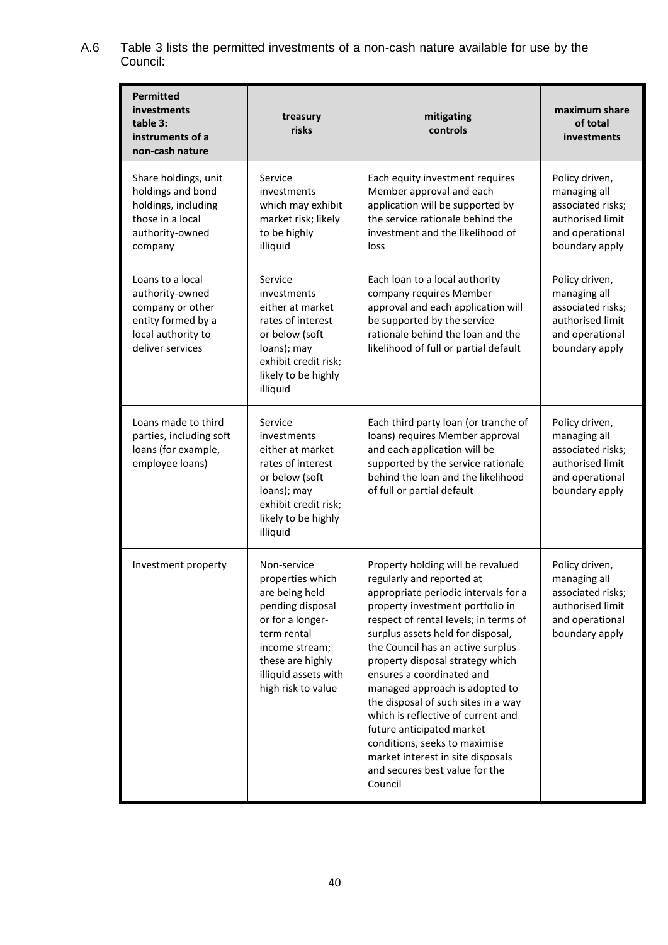A.6 Table 3 lists the permitted investments of a non-cash nature available for use by the Council:

| <b>Permitted</b><br><b>investments</b><br>table 3:<br>instruments of a<br>non-cash nature                               | treasury<br>risks                                                                                                                                                                            | mitigating<br>controls                                                                                                                                                                                                                                                                                                                                                                                                                                                                                                                                                                        | maximum share<br>of total<br>investments                                                                     |
|-------------------------------------------------------------------------------------------------------------------------|----------------------------------------------------------------------------------------------------------------------------------------------------------------------------------------------|-----------------------------------------------------------------------------------------------------------------------------------------------------------------------------------------------------------------------------------------------------------------------------------------------------------------------------------------------------------------------------------------------------------------------------------------------------------------------------------------------------------------------------------------------------------------------------------------------|--------------------------------------------------------------------------------------------------------------|
| Share holdings, unit<br>holdings and bond<br>holdings, including<br>those in a local<br>authority-owned<br>company      | Service<br>investments<br>which may exhibit<br>market risk; likely<br>to be highly<br>illiquid                                                                                               | Each equity investment requires<br>Member approval and each<br>application will be supported by<br>the service rationale behind the<br>investment and the likelihood of<br>loss                                                                                                                                                                                                                                                                                                                                                                                                               | Policy driven,<br>managing all<br>associated risks;<br>authorised limit<br>and operational<br>boundary apply |
| Loans to a local<br>authority-owned<br>company or other<br>entity formed by a<br>local authority to<br>deliver services | Service<br>investments<br>either at market<br>rates of interest<br>or below (soft<br>loans); may<br>exhibit credit risk;<br>likely to be highly<br>illiquid                                  | Each loan to a local authority<br>company requires Member<br>approval and each application will<br>be supported by the service<br>rationale behind the loan and the<br>likelihood of full or partial default                                                                                                                                                                                                                                                                                                                                                                                  | Policy driven,<br>managing all<br>associated risks;<br>authorised limit<br>and operational<br>boundary apply |
| Loans made to third<br>parties, including soft<br>loans (for example,<br>employee loans)                                | Service<br>investments<br>either at market<br>rates of interest<br>or below (soft<br>loans); may<br>exhibit credit risk;<br>likely to be highly<br>illiquid                                  | Each third party loan (or tranche of<br>loans) requires Member approval<br>and each application will be<br>supported by the service rationale<br>behind the loan and the likelihood<br>of full or partial default                                                                                                                                                                                                                                                                                                                                                                             | Policy driven,<br>managing all<br>associated risks;<br>authorised limit<br>and operational<br>boundary apply |
| Investment property                                                                                                     | Non-service<br>properties which<br>are being held<br>pending disposal<br>or for a longer-<br>term rental<br>income stream;<br>these are highly<br>illiquid assets with<br>high risk to value | Property holding will be revalued<br>regularly and reported at<br>appropriate periodic intervals for a<br>property investment portfolio in<br>respect of rental levels; in terms of<br>surplus assets held for disposal,<br>the Council has an active surplus<br>property disposal strategy which<br>ensures a coordinated and<br>managed approach is adopted to<br>the disposal of such sites in a way<br>which is reflective of current and<br>future anticipated market<br>conditions, seeks to maximise<br>market interest in site disposals<br>and secures best value for the<br>Council | Policy driven,<br>managing all<br>associated risks;<br>authorised limit<br>and operational<br>boundary apply |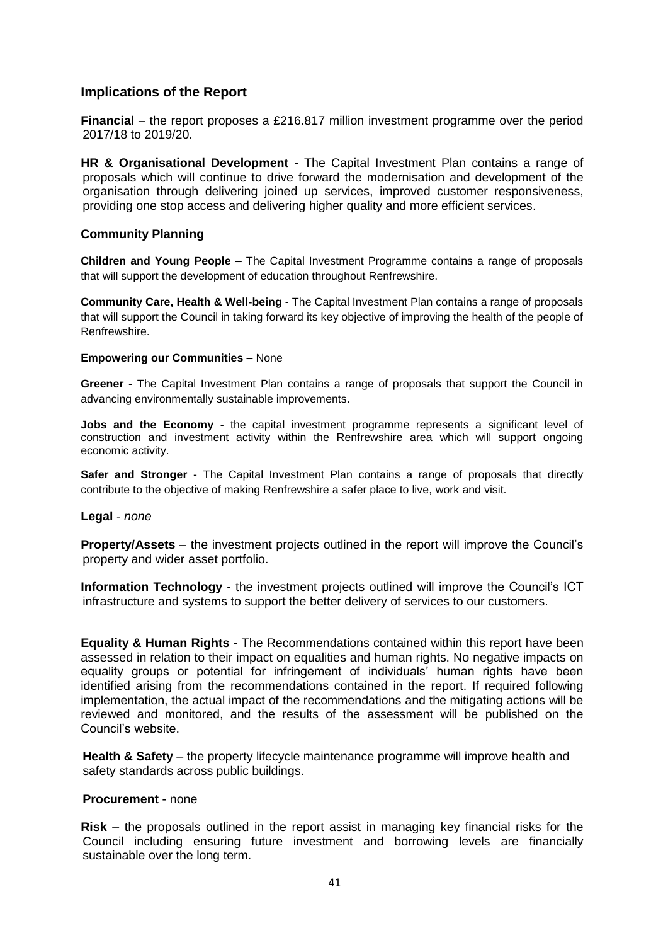# **Implications of the Report**

**Financial** – the report proposes a £216.817 million investment programme over the period 2017/18 to 2019/20.

**HR & Organisational Development** - The Capital Investment Plan contains a range of proposals which will continue to drive forward the modernisation and development of the organisation through delivering joined up services, improved customer responsiveness, providing one stop access and delivering higher quality and more efficient services.

#### **Community Planning**

**Children and Young People** – The Capital Investment Programme contains a range of proposals that will support the development of education throughout Renfrewshire.

**Community Care, Health & Well-being** - The Capital Investment Plan contains a range of proposals that will support the Council in taking forward its key objective of improving the health of the people of Renfrewshire.

#### **Empowering our Communities** – None

**Greener** - The Capital Investment Plan contains a range of proposals that support the Council in advancing environmentally sustainable improvements.

**Jobs and the Economy** - the capital investment programme represents a significant level of construction and investment activity within the Renfrewshire area which will support ongoing economic activity.

**Safer and Stronger** - The Capital Investment Plan contains a range of proposals that directly contribute to the objective of making Renfrewshire a safer place to live, work and visit.

#### **Legal** *- none*

**Property/Assets** – the investment projects outlined in the report will improve the Council's property and wider asset portfolio.

**Information Technology** - the investment projects outlined will improve the Council's ICT infrastructure and systems to support the better delivery of services to our customers.

**Equality & Human Rights** - The Recommendations contained within this report have been assessed in relation to their impact on equalities and human rights. No negative impacts on equality groups or potential for infringement of individuals' human rights have been identified arising from the recommendations contained in the report. If required following implementation, the actual impact of the recommendations and the mitigating actions will be reviewed and monitored, and the results of the assessment will be published on the Council's website.

**Health & Safety** – the property lifecycle maintenance programme will improve health and safety standards across public buildings.

#### **Procurement** - none

**Risk** – the proposals outlined in the report assist in managing key financial risks for the Council including ensuring future investment and borrowing levels are financially sustainable over the long term.